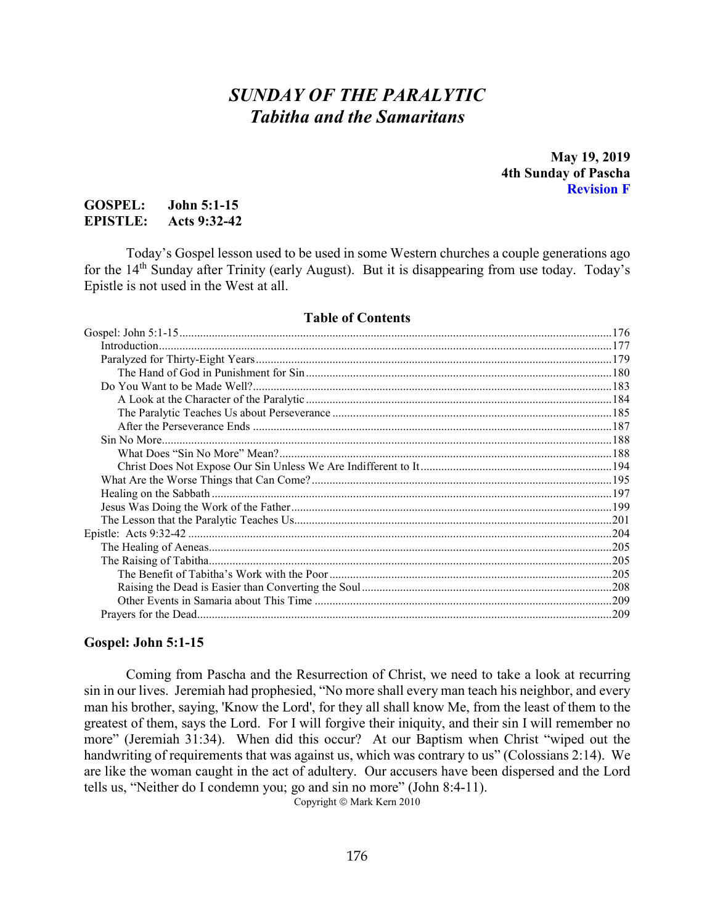# *SUNDAY OF THE PARALYTIC Tabitha and the Samaritans*

**May 19, 2019 4th Sunday of Pascha Revision F**

## **GOSPEL: John 5:1-15 EPISTLE: Acts 9:32-42**

Today's Gospel lesson used to be used in some Western churches a couple generations ago for the  $14<sup>th</sup>$  Sunday after Trinity (early August). But it is disappearing from use today. Today's Epistle is not used in the West at all.

#### **Table of Contents**

#### <span id="page-0-0"></span>**Gospel: John 5:1-15**

Coming from Pascha and the Resurrection of Christ, we need to take a look at recurring sin in our lives. Jeremiah had prophesied, "No more shall every man teach his neighbor, and every man his brother, saying, 'Know the Lord', for they all shall know Me, from the least of them to the greatest of them, says the Lord. For I will forgive their iniquity, and their sin I will remember no more" (Jeremiah 31:34). When did this occur? At our Baptism when Christ "wiped out the handwriting of requirements that was against us, which was contrary to us" (Colossians 2:14). We are like the woman caught in the act of adultery. Our accusers have been dispersed and the Lord tells us, "Neither do I condemn you; go and sin no more" (John 8:4-11).

Copyright © Mark Kern 2010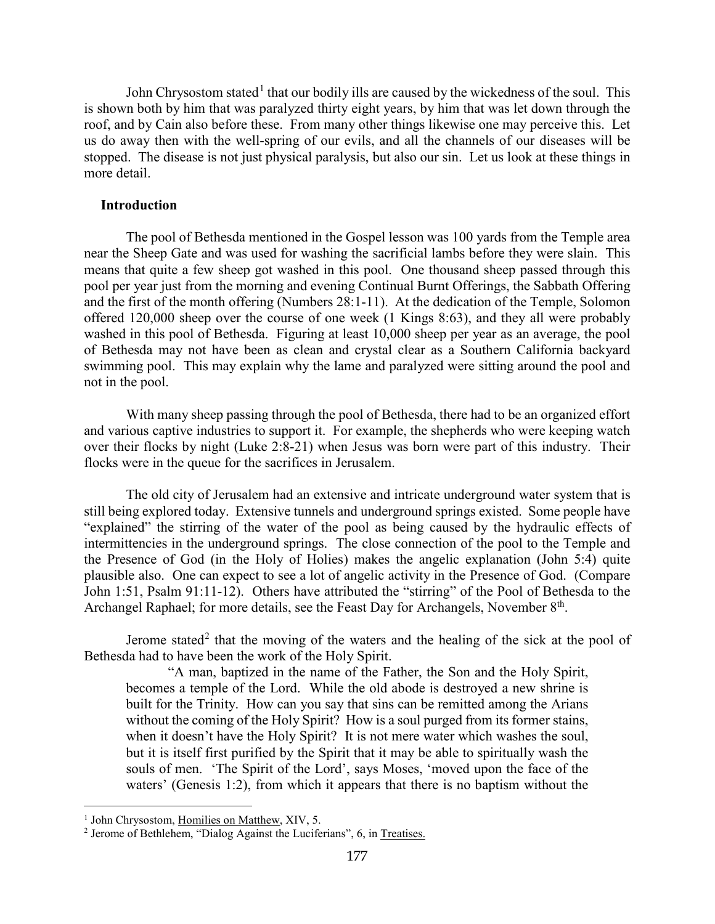John Chrysostom stated<sup>[1](#page-1-1)</sup> that our bodily ills are caused by the wickedness of the soul. This is shown both by him that was paralyzed thirty eight years, by him that was let down through the roof, and by Cain also before these. From many other things likewise one may perceive this. Let us do away then with the well-spring of our evils, and all the channels of our diseases will be stopped. The disease is not just physical paralysis, but also our sin. Let us look at these things in more detail.

#### <span id="page-1-0"></span>**Introduction**

The pool of Bethesda mentioned in the Gospel lesson was 100 yards from the Temple area near the Sheep Gate and was used for washing the sacrificial lambs before they were slain. This means that quite a few sheep got washed in this pool. One thousand sheep passed through this pool per year just from the morning and evening Continual Burnt Offerings, the Sabbath Offering and the first of the month offering (Numbers 28:1-11). At the dedication of the Temple, Solomon offered 120,000 sheep over the course of one week (1 Kings 8:63), and they all were probably washed in this pool of Bethesda. Figuring at least 10,000 sheep per year as an average, the pool of Bethesda may not have been as clean and crystal clear as a Southern California backyard swimming pool. This may explain why the lame and paralyzed were sitting around the pool and not in the pool.

With many sheep passing through the pool of Bethesda, there had to be an organized effort and various captive industries to support it. For example, the shepherds who were keeping watch over their flocks by night (Luke 2:8-21) when Jesus was born were part of this industry. Their flocks were in the queue for the sacrifices in Jerusalem.

The old city of Jerusalem had an extensive and intricate underground water system that is still being explored today. Extensive tunnels and underground springs existed. Some people have "explained" the stirring of the water of the pool as being caused by the hydraulic effects of intermittencies in the underground springs. The close connection of the pool to the Temple and the Presence of God (in the Holy of Holies) makes the angelic explanation (John 5:4) quite plausible also. One can expect to see a lot of angelic activity in the Presence of God. (Compare John 1:51, Psalm 91:11-12). Others have attributed the "stirring" of the Pool of Bethesda to the Archangel Raphael; for more details, see the Feast Day for Archangels, November 8<sup>th</sup>.

Jerome stated<sup>[2](#page-1-2)</sup> that the moving of the waters and the healing of the sick at the pool of Bethesda had to have been the work of the Holy Spirit.

"A man, baptized in the name of the Father, the Son and the Holy Spirit, becomes a temple of the Lord. While the old abode is destroyed a new shrine is built for the Trinity. How can you say that sins can be remitted among the Arians without the coming of the Holy Spirit? How is a soul purged from its former stains, when it doesn't have the Holy Spirit? It is not mere water which washes the soul, but it is itself first purified by the Spirit that it may be able to spiritually wash the souls of men. 'The Spirit of the Lord', says Moses, 'moved upon the face of the waters' (Genesis 1:2), from which it appears that there is no baptism without the

<span id="page-1-1"></span><sup>&</sup>lt;sup>1</sup> John Chrysostom, Homilies on Matthew, XIV, 5.

<span id="page-1-2"></span><sup>&</sup>lt;sup>2</sup> Jerome of Bethlehem, "Dialog Against the Luciferians", 6, in Treatises.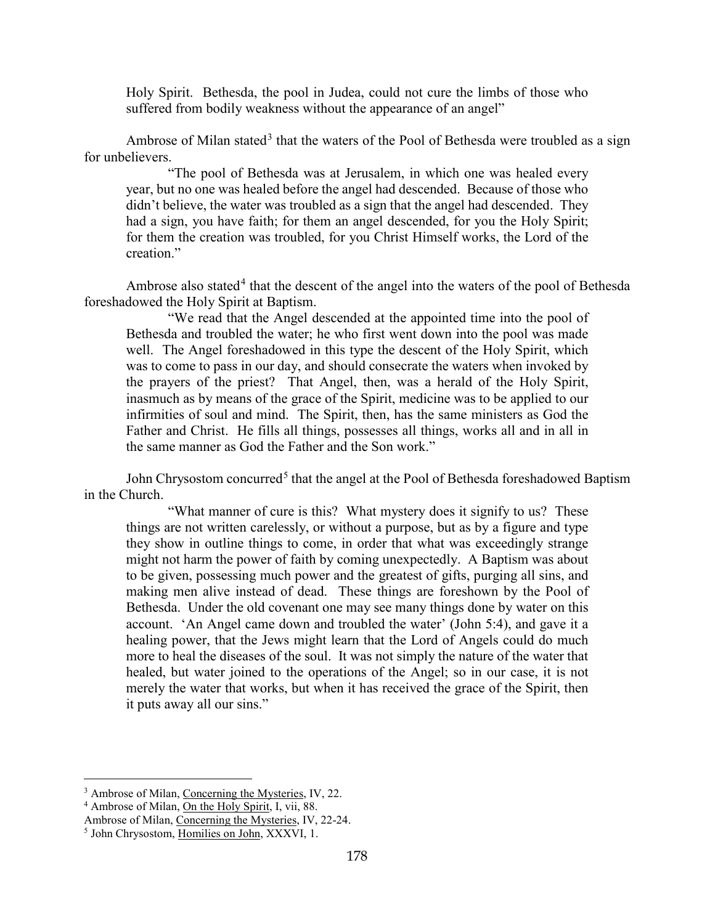Holy Spirit. Bethesda, the pool in Judea, could not cure the limbs of those who suffered from bodily weakness without the appearance of an angel"

Ambrose of Milan stated<sup>[3](#page-2-0)</sup> that the waters of the Pool of Bethesda were troubled as a sign for unbelievers.

"The pool of Bethesda was at Jerusalem, in which one was healed every year, but no one was healed before the angel had descended. Because of those who didn't believe, the water was troubled as a sign that the angel had descended. They had a sign, you have faith; for them an angel descended, for you the Holy Spirit; for them the creation was troubled, for you Christ Himself works, the Lord of the creation."

Ambrose also stated<sup>[4](#page-2-1)</sup> that the descent of the angel into the waters of the pool of Bethesda foreshadowed the Holy Spirit at Baptism.

"We read that the Angel descended at the appointed time into the pool of Bethesda and troubled the water; he who first went down into the pool was made well. The Angel foreshadowed in this type the descent of the Holy Spirit, which was to come to pass in our day, and should consecrate the waters when invoked by the prayers of the priest? That Angel, then, was a herald of the Holy Spirit, inasmuch as by means of the grace of the Spirit, medicine was to be applied to our infirmities of soul and mind. The Spirit, then, has the same ministers as God the Father and Christ. He fills all things, possesses all things, works all and in all in the same manner as God the Father and the Son work."

John Chrysostom concurred<sup>[5](#page-2-2)</sup> that the angel at the Pool of Bethesda foreshadowed Baptism in the Church.

"What manner of cure is this? What mystery does it signify to us? These things are not written carelessly, or without a purpose, but as by a figure and type they show in outline things to come, in order that what was exceedingly strange might not harm the power of faith by coming unexpectedly. A Baptism was about to be given, possessing much power and the greatest of gifts, purging all sins, and making men alive instead of dead. These things are foreshown by the Pool of Bethesda. Under the old covenant one may see many things done by water on this account. 'An Angel came down and troubled the water' (John 5:4), and gave it a healing power, that the Jews might learn that the Lord of Angels could do much more to heal the diseases of the soul. It was not simply the nature of the water that healed, but water joined to the operations of the Angel; so in our case, it is not merely the water that works, but when it has received the grace of the Spirit, then it puts away all our sins."

<span id="page-2-0"></span><sup>3</sup> Ambrose of Milan, Concerning the Mysteries, IV, 22.

<span id="page-2-1"></span><sup>4</sup> Ambrose of Milan, On the Holy Spirit, I, vii, 88.

Ambrose of Milan, Concerning the Mysteries, IV, 22-24.

<span id="page-2-2"></span><sup>5</sup> John Chrysostom, Homilies on John, XXXVI, 1.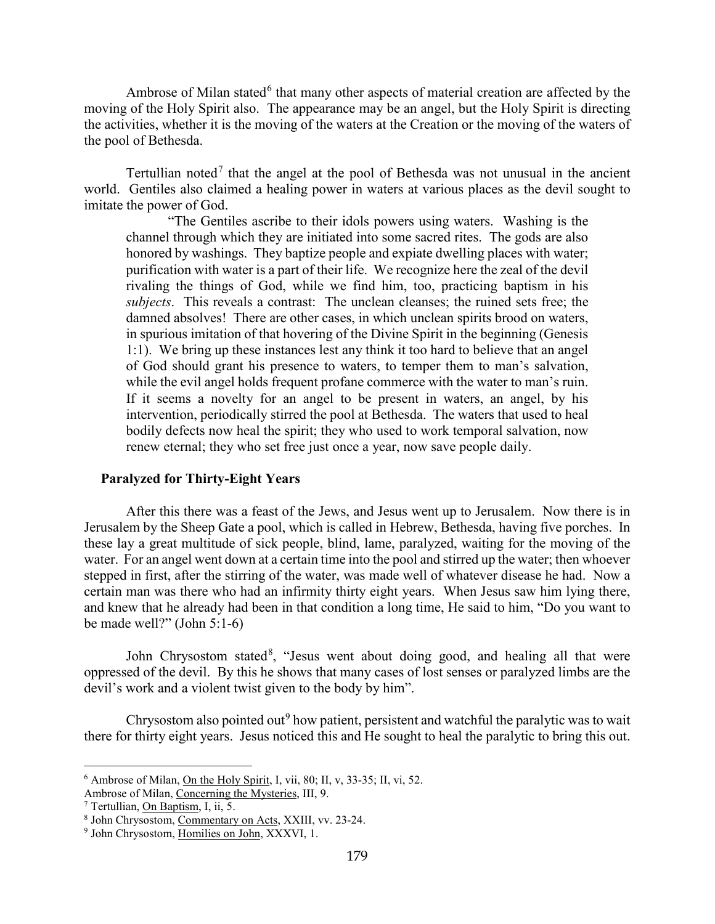Ambrose of Milan stated<sup>[6](#page-3-1)</sup> that many other aspects of material creation are affected by the moving of the Holy Spirit also. The appearance may be an angel, but the Holy Spirit is directing the activities, whether it is the moving of the waters at the Creation or the moving of the waters of the pool of Bethesda.

Tertullian noted<sup>[7](#page-3-2)</sup> that the angel at the pool of Bethesda was not unusual in the ancient world. Gentiles also claimed a healing power in waters at various places as the devil sought to imitate the power of God.

"The Gentiles ascribe to their idols powers using waters. Washing is the channel through which they are initiated into some sacred rites. The gods are also honored by washings. They baptize people and expiate dwelling places with water; purification with water is a part of their life. We recognize here the zeal of the devil rivaling the things of God, while we find him, too, practicing baptism in his *subjects*. This reveals a contrast: The unclean cleanses; the ruined sets free; the damned absolves! There are other cases, in which unclean spirits brood on waters, in spurious imitation of that hovering of the Divine Spirit in the beginning (Genesis 1:1). We bring up these instances lest any think it too hard to believe that an angel of God should grant his presence to waters, to temper them to man's salvation, while the evil angel holds frequent profane commerce with the water to man's ruin. If it seems a novelty for an angel to be present in waters, an angel, by his intervention, periodically stirred the pool at Bethesda. The waters that used to heal bodily defects now heal the spirit; they who used to work temporal salvation, now renew eternal; they who set free just once a year, now save people daily.

#### <span id="page-3-0"></span>**Paralyzed for Thirty-Eight Years**

After this there was a feast of the Jews, and Jesus went up to Jerusalem. Now there is in Jerusalem by the Sheep Gate a pool, which is called in Hebrew, Bethesda, having five porches. In these lay a great multitude of sick people, blind, lame, paralyzed, waiting for the moving of the water. For an angel went down at a certain time into the pool and stirred up the water; then whoever stepped in first, after the stirring of the water, was made well of whatever disease he had. Now a certain man was there who had an infirmity thirty eight years. When Jesus saw him lying there, and knew that he already had been in that condition a long time, He said to him, "Do you want to be made well?" (John 5:1-6)

John Chrysostom stated<sup>[8](#page-3-3)</sup>, "Jesus went about doing good, and healing all that were oppressed of the devil. By this he shows that many cases of lost senses or paralyzed limbs are the devil's work and a violent twist given to the body by him".

Chrysostom also pointed out<sup>[9](#page-3-4)</sup> how patient, persistent and watchful the paralytic was to wait there for thirty eight years. Jesus noticed this and He sought to heal the paralytic to bring this out.

<span id="page-3-1"></span><sup>&</sup>lt;sup>6</sup> Ambrose of Milan, On the Holy Spirit, I, vii, 80; II, v, 33-35; II, vi, 52.

Ambrose of Milan, Concerning the Mysteries, III, 9.

<span id="page-3-2"></span><sup>7</sup> Tertullian, On Baptism, I, ii, 5.

<span id="page-3-3"></span><sup>8</sup> John Chrysostom, Commentary on Acts, XXIII, vv. 23-24.

<span id="page-3-4"></span><sup>9</sup> John Chrysostom, Homilies on John, XXXVI, 1.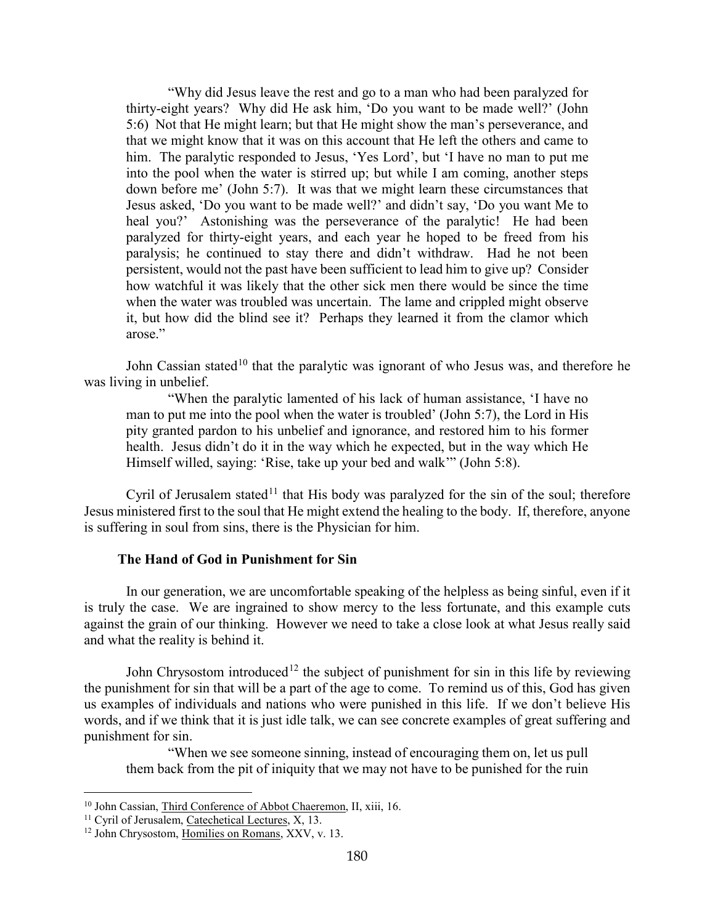"Why did Jesus leave the rest and go to a man who had been paralyzed for thirty-eight years? Why did He ask him, 'Do you want to be made well?' (John 5:6) Not that He might learn; but that He might show the man's perseverance, and that we might know that it was on this account that He left the others and came to him. The paralytic responded to Jesus, 'Yes Lord', but 'I have no man to put me into the pool when the water is stirred up; but while I am coming, another steps down before me' (John 5:7). It was that we might learn these circumstances that Jesus asked, 'Do you want to be made well?' and didn't say, 'Do you want Me to heal you?' Astonishing was the perseverance of the paralytic! He had been paralyzed for thirty-eight years, and each year he hoped to be freed from his paralysis; he continued to stay there and didn't withdraw. Had he not been persistent, would not the past have been sufficient to lead him to give up? Consider how watchful it was likely that the other sick men there would be since the time when the water was troubled was uncertain. The lame and crippled might observe it, but how did the blind see it? Perhaps they learned it from the clamor which arose."

John Cassian stated<sup>[10](#page-4-1)</sup> that the paralytic was ignorant of who Jesus was, and therefore he was living in unbelief.

"When the paralytic lamented of his lack of human assistance, 'I have no man to put me into the pool when the water is troubled' (John 5:7), the Lord in His pity granted pardon to his unbelief and ignorance, and restored him to his former health. Jesus didn't do it in the way which he expected, but in the way which He Himself willed, saying: 'Rise, take up your bed and walk'" (John 5:8).

Cyril of Jerusalem stated<sup>[11](#page-4-2)</sup> that His body was paralyzed for the sin of the soul; therefore Jesus ministered first to the soul that He might extend the healing to the body. If, therefore, anyone is suffering in soul from sins, there is the Physician for him.

#### **The Hand of God in Punishment for Sin**

<span id="page-4-0"></span>In our generation, we are uncomfortable speaking of the helpless as being sinful, even if it is truly the case. We are ingrained to show mercy to the less fortunate, and this example cuts against the grain of our thinking. However we need to take a close look at what Jesus really said and what the reality is behind it.

John Chrysostom introduced<sup>[12](#page-4-3)</sup> the subject of punishment for sin in this life by reviewing the punishment for sin that will be a part of the age to come. To remind us of this, God has given us examples of individuals and nations who were punished in this life. If we don't believe His words, and if we think that it is just idle talk, we can see concrete examples of great suffering and punishment for sin.

"When we see someone sinning, instead of encouraging them on, let us pull them back from the pit of iniquity that we may not have to be punished for the ruin

<span id="page-4-1"></span><sup>&</sup>lt;sup>10</sup> John Cassian, Third Conference of Abbot Chaeremon, II, xiii, 16.

<span id="page-4-2"></span><sup>&</sup>lt;sup>11</sup> Cyril of Jerusalem, Catechetical Lectures, X, 13.

<span id="page-4-3"></span><sup>&</sup>lt;sup>12</sup> John Chrysostom, Homilies on Romans, XXV, v. 13.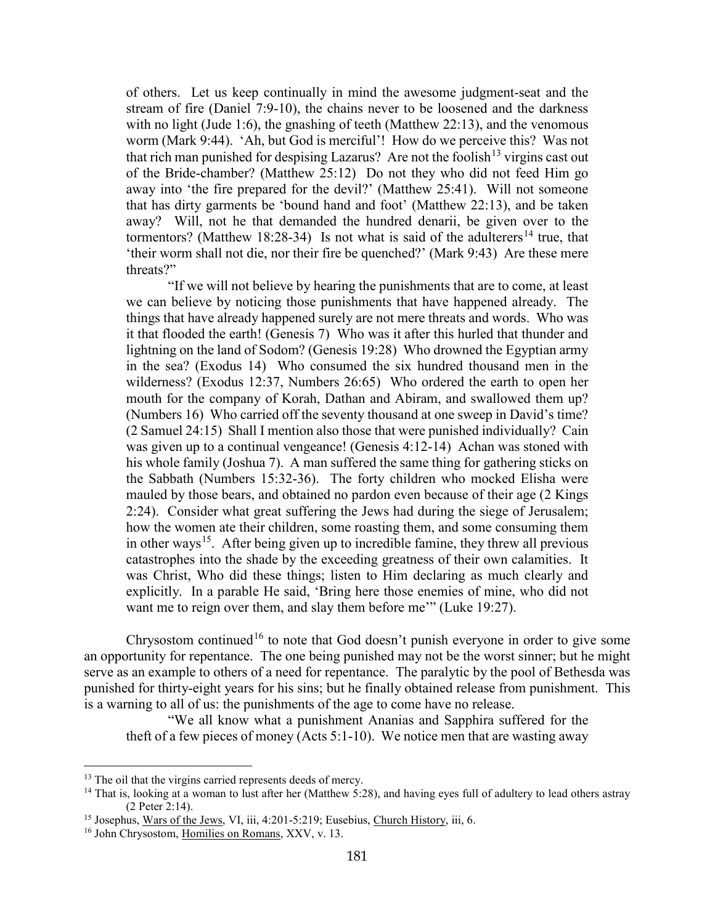of others. Let us keep continually in mind the awesome judgment-seat and the stream of fire (Daniel 7:9-10), the chains never to be loosened and the darkness with no light (Jude 1:6), the gnashing of teeth (Matthew 22:13), and the venomous worm (Mark 9:44). 'Ah, but God is merciful'! How do we perceive this? Was not that rich man punished for despising Lazarus? Are not the foolish  $13$  virgins cast out of the Bride-chamber? (Matthew 25:12) Do not they who did not feed Him go away into 'the fire prepared for the devil?' (Matthew 25:41). Will not someone that has dirty garments be 'bound hand and foot' (Matthew 22:13), and be taken away? Will, not he that demanded the hundred denarii, be given over to the tormentors? (Matthew 18:28-34) Is not what is said of the adulterers<sup>[14](#page-5-1)</sup> true, that 'their worm shall not die, nor their fire be quenched?' (Mark 9:43) Are these mere threats?"

"If we will not believe by hearing the punishments that are to come, at least we can believe by noticing those punishments that have happened already. The things that have already happened surely are not mere threats and words. Who was it that flooded the earth! (Genesis 7) Who was it after this hurled that thunder and lightning on the land of Sodom? (Genesis 19:28) Who drowned the Egyptian army in the sea? (Exodus 14) Who consumed the six hundred thousand men in the wilderness? (Exodus 12:37, Numbers 26:65) Who ordered the earth to open her mouth for the company of Korah, Dathan and Abiram, and swallowed them up? (Numbers 16) Who carried off the seventy thousand at one sweep in David's time? (2 Samuel 24:15) Shall I mention also those that were punished individually? Cain was given up to a continual vengeance! (Genesis 4:12-14) Achan was stoned with his whole family (Joshua 7). A man suffered the same thing for gathering sticks on the Sabbath (Numbers 15:32-36). The forty children who mocked Elisha were mauled by those bears, and obtained no pardon even because of their age (2 Kings 2:24). Consider what great suffering the Jews had during the siege of Jerusalem; how the women ate their children, some roasting them, and some consuming them in other ways<sup>[15](#page-5-2)</sup>. After being given up to incredible famine, they threw all previous catastrophes into the shade by the exceeding greatness of their own calamities. It was Christ, Who did these things; listen to Him declaring as much clearly and explicitly. In a parable He said, 'Bring here those enemies of mine, who did not want me to reign over them, and slay them before me'" (Luke 19:27).

Chrysostom continued<sup>[16](#page-5-3)</sup> to note that God doesn't punish everyone in order to give some an opportunity for repentance. The one being punished may not be the worst sinner; but he might serve as an example to others of a need for repentance. The paralytic by the pool of Bethesda was punished for thirty-eight years for his sins; but he finally obtained release from punishment. This is a warning to all of us: the punishments of the age to come have no release.

"We all know what a punishment Ananias and Sapphira suffered for the theft of a few pieces of money (Acts 5:1-10). We notice men that are wasting away

<span id="page-5-0"></span><sup>&</sup>lt;sup>13</sup> The oil that the virgins carried represents deeds of mercy.

<span id="page-5-1"></span><sup>&</sup>lt;sup>14</sup> That is, looking at a woman to lust after her (Matthew 5:28), and having eyes full of adultery to lead others astray (2 Peter 2:14).

<span id="page-5-2"></span><sup>&</sup>lt;sup>15</sup> Josephus, Wars of the Jews, VI, iii, 4:201-5:219; Eusebius, Church History, iii, 6.

<span id="page-5-3"></span><sup>&</sup>lt;sup>16</sup> John Chrysostom, Homilies on Romans, XXV, v. 13.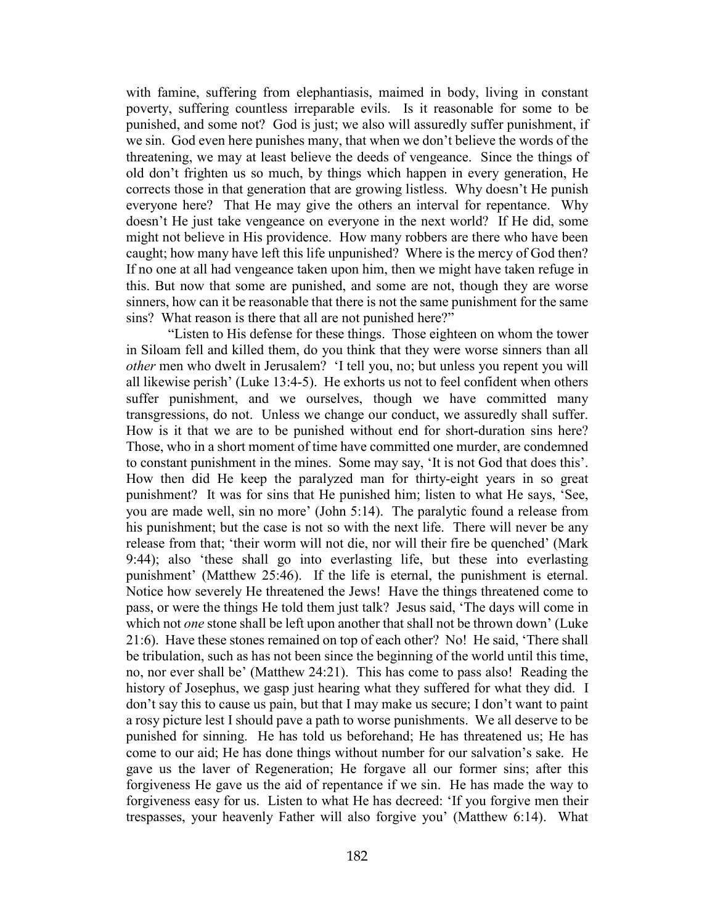with famine, suffering from elephantiasis, maimed in body, living in constant poverty, suffering countless irreparable evils. Is it reasonable for some to be punished, and some not? God is just; we also will assuredly suffer punishment, if we sin. God even here punishes many, that when we don't believe the words of the threatening, we may at least believe the deeds of vengeance. Since the things of old don't frighten us so much, by things which happen in every generation, He corrects those in that generation that are growing listless. Why doesn't He punish everyone here? That He may give the others an interval for repentance. Why doesn't He just take vengeance on everyone in the next world? If He did, some might not believe in His providence. How many robbers are there who have been caught; how many have left this life unpunished? Where is the mercy of God then? If no one at all had vengeance taken upon him, then we might have taken refuge in this. But now that some are punished, and some are not, though they are worse sinners, how can it be reasonable that there is not the same punishment for the same sins? What reason is there that all are not punished here?"

"Listen to His defense for these things. Those eighteen on whom the tower in Siloam fell and killed them, do you think that they were worse sinners than all *other* men who dwelt in Jerusalem? 'I tell you, no; but unless you repent you will all likewise perish' (Luke 13:4-5). He exhorts us not to feel confident when others suffer punishment, and we ourselves, though we have committed many transgressions, do not. Unless we change our conduct, we assuredly shall suffer. How is it that we are to be punished without end for short-duration sins here? Those, who in a short moment of time have committed one murder, are condemned to constant punishment in the mines. Some may say, 'It is not God that does this'. How then did He keep the paralyzed man for thirty-eight years in so great punishment? It was for sins that He punished him; listen to what He says, 'See, you are made well, sin no more' (John 5:14). The paralytic found a release from his punishment; but the case is not so with the next life. There will never be any release from that; 'their worm will not die, nor will their fire be quenched' (Mark 9:44); also 'these shall go into everlasting life, but these into everlasting punishment' (Matthew 25:46). If the life is eternal, the punishment is eternal. Notice how severely He threatened the Jews! Have the things threatened come to pass, or were the things He told them just talk? Jesus said, 'The days will come in which not *one* stone shall be left upon another that shall not be thrown down' (Luke 21:6). Have these stones remained on top of each other? No! He said, 'There shall be tribulation, such as has not been since the beginning of the world until this time, no, nor ever shall be' (Matthew 24:21). This has come to pass also! Reading the history of Josephus, we gasp just hearing what they suffered for what they did. I don't say this to cause us pain, but that I may make us secure; I don't want to paint a rosy picture lest I should pave a path to worse punishments. We all deserve to be punished for sinning. He has told us beforehand; He has threatened us; He has come to our aid; He has done things without number for our salvation's sake. He gave us the laver of Regeneration; He forgave all our former sins; after this forgiveness He gave us the aid of repentance if we sin. He has made the way to forgiveness easy for us. Listen to what He has decreed: 'If you forgive men their trespasses, your heavenly Father will also forgive you' (Matthew 6:14). What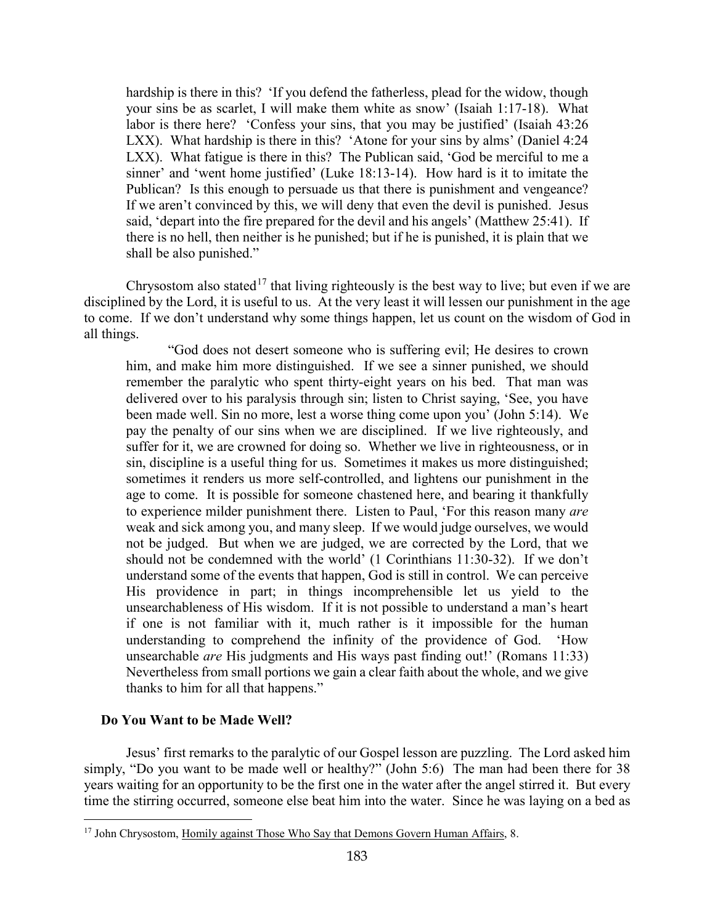hardship is there in this? 'If you defend the fatherless, plead for the widow, though your sins be as scarlet, I will make them white as snow' (Isaiah 1:17-18). What labor is there here? 'Confess your sins, that you may be justified' (Isaiah 43:26) LXX). What hardship is there in this? 'Atone for your sins by alms' (Daniel 4:24 LXX). What fatigue is there in this? The Publican said, 'God be merciful to me a sinner' and 'went home justified' (Luke 18:13-14). How hard is it to imitate the Publican? Is this enough to persuade us that there is punishment and vengeance? If we aren't convinced by this, we will deny that even the devil is punished. Jesus said, 'depart into the fire prepared for the devil and his angels' (Matthew 25:41). If there is no hell, then neither is he punished; but if he is punished, it is plain that we shall be also punished."

Chrysostom also stated<sup>[17](#page-7-1)</sup> that living righteously is the best way to live; but even if we are disciplined by the Lord, it is useful to us. At the very least it will lessen our punishment in the age to come. If we don't understand why some things happen, let us count on the wisdom of God in all things.

"God does not desert someone who is suffering evil; He desires to crown him, and make him more distinguished. If we see a sinner punished, we should remember the paralytic who spent thirty-eight years on his bed. That man was delivered over to his paralysis through sin; listen to Christ saying, 'See, you have been made well. Sin no more, lest a worse thing come upon you' (John 5:14). We pay the penalty of our sins when we are disciplined. If we live righteously, and suffer for it, we are crowned for doing so. Whether we live in righteousness, or in sin, discipline is a useful thing for us. Sometimes it makes us more distinguished; sometimes it renders us more self-controlled, and lightens our punishment in the age to come. It is possible for someone chastened here, and bearing it thankfully to experience milder punishment there. Listen to Paul, 'For this reason many *are*  weak and sick among you, and many sleep. If we would judge ourselves, we would not be judged. But when we are judged, we are corrected by the Lord, that we should not be condemned with the world' (1 Corinthians 11:30-32). If we don't understand some of the events that happen, God is still in control. We can perceive His providence in part; in things incomprehensible let us yield to the unsearchableness of His wisdom. If it is not possible to understand a man's heart if one is not familiar with it, much rather is it impossible for the human understanding to comprehend the infinity of the providence of God. 'How unsearchable *are* His judgments and His ways past finding out!' (Romans 11:33) Nevertheless from small portions we gain a clear faith about the whole, and we give thanks to him for all that happens."

#### <span id="page-7-0"></span>**Do You Want to be Made Well?**

 $\overline{a}$ 

Jesus' first remarks to the paralytic of our Gospel lesson are puzzling. The Lord asked him simply, "Do you want to be made well or healthy?" (John 5:6) The man had been there for 38 years waiting for an opportunity to be the first one in the water after the angel stirred it. But every time the stirring occurred, someone else beat him into the water. Since he was laying on a bed as

<span id="page-7-1"></span><sup>&</sup>lt;sup>17</sup> John Chrysostom, Homily against Those Who Say that Demons Govern Human Affairs, 8.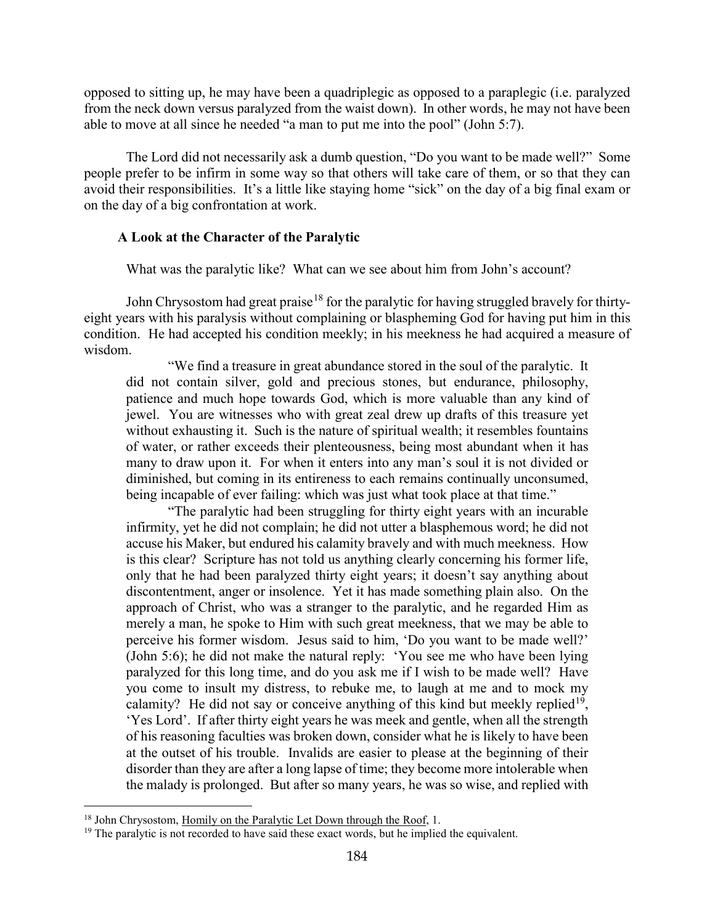opposed to sitting up, he may have been a quadriplegic as opposed to a paraplegic (i.e. paralyzed from the neck down versus paralyzed from the waist down). In other words, he may not have been able to move at all since he needed "a man to put me into the pool" (John 5:7).

The Lord did not necessarily ask a dumb question, "Do you want to be made well?" Some people prefer to be infirm in some way so that others will take care of them, or so that they can avoid their responsibilities. It's a little like staying home "sick" on the day of a big final exam or on the day of a big confrontation at work.

#### <span id="page-8-0"></span>**A Look at the Character of the Paralytic**

What was the paralytic like? What can we see about him from John's account?

John Chrysostom had great praise<sup>[18](#page-8-1)</sup> for the paralytic for having struggled bravely for thirtyeight years with his paralysis without complaining or blaspheming God for having put him in this condition. He had accepted his condition meekly; in his meekness he had acquired a measure of wisdom.

"We find a treasure in great abundance stored in the soul of the paralytic. It did not contain silver, gold and precious stones, but endurance, philosophy, patience and much hope towards God, which is more valuable than any kind of jewel. You are witnesses who with great zeal drew up drafts of this treasure yet without exhausting it. Such is the nature of spiritual wealth; it resembles fountains of water, or rather exceeds their plenteousness, being most abundant when it has many to draw upon it. For when it enters into any man's soul it is not divided or diminished, but coming in its entireness to each remains continually unconsumed, being incapable of ever failing: which was just what took place at that time."

"The paralytic had been struggling for thirty eight years with an incurable infirmity, yet he did not complain; he did not utter a blasphemous word; he did not accuse his Maker, but endured his calamity bravely and with much meekness. How is this clear? Scripture has not told us anything clearly concerning his former life, only that he had been paralyzed thirty eight years; it doesn't say anything about discontentment, anger or insolence. Yet it has made something plain also. On the approach of Christ, who was a stranger to the paralytic, and he regarded Him as merely a man, he spoke to Him with such great meekness, that we may be able to perceive his former wisdom. Jesus said to him, 'Do you want to be made well?' (John 5:6); he did not make the natural reply: 'You see me who have been lying paralyzed for this long time, and do you ask me if I wish to be made well? Have you come to insult my distress, to rebuke me, to laugh at me and to mock my calamity? He did not say or conceive anything of this kind but meekly replied<sup>[19](#page-8-2)</sup>, 'Yes Lord'. If after thirty eight years he was meek and gentle, when all the strength of his reasoning faculties was broken down, consider what he is likely to have been at the outset of his trouble. Invalids are easier to please at the beginning of their disorder than they are after a long lapse of time; they become more intolerable when the malady is prolonged. But after so many years, he was so wise, and replied with

<span id="page-8-1"></span><sup>&</sup>lt;sup>18</sup> John Chrysostom, Homily on the Paralytic Let Down through the Roof, 1.

<span id="page-8-2"></span><sup>&</sup>lt;sup>19</sup> The paralytic is not recorded to have said these exact words, but he implied the equivalent.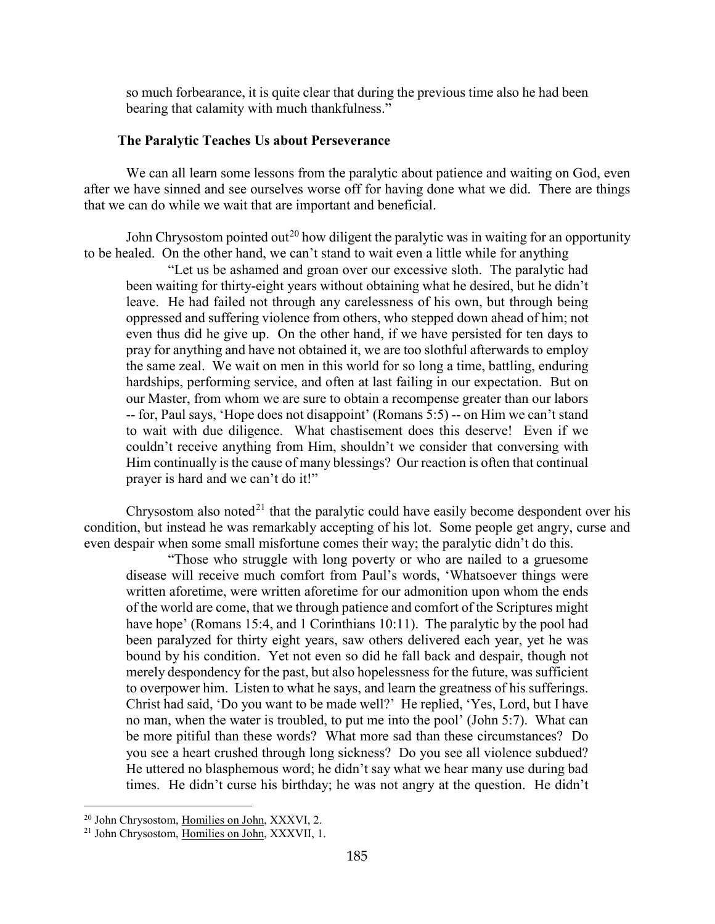so much forbearance, it is quite clear that during the previous time also he had been bearing that calamity with much thankfulness."

#### **The Paralytic Teaches Us about Perseverance**

<span id="page-9-0"></span>We can all learn some lessons from the paralytic about patience and waiting on God, even after we have sinned and see ourselves worse off for having done what we did. There are things that we can do while we wait that are important and beneficial.

John Chrysostom pointed out<sup>[20](#page-9-1)</sup> how diligent the paralytic was in waiting for an opportunity to be healed. On the other hand, we can't stand to wait even a little while for anything

"Let us be ashamed and groan over our excessive sloth. The paralytic had been waiting for thirty-eight years without obtaining what he desired, but he didn't leave. He had failed not through any carelessness of his own, but through being oppressed and suffering violence from others, who stepped down ahead of him; not even thus did he give up. On the other hand, if we have persisted for ten days to pray for anything and have not obtained it, we are too slothful afterwards to employ the same zeal. We wait on men in this world for so long a time, battling, enduring hardships, performing service, and often at last failing in our expectation. But on our Master, from whom we are sure to obtain a recompense greater than our labors -- for, Paul says, 'Hope does not disappoint' (Romans 5:5) -- on Him we can't stand to wait with due diligence. What chastisement does this deserve! Even if we couldn't receive anything from Him, shouldn't we consider that conversing with Him continually is the cause of many blessings? Our reaction is often that continual prayer is hard and we can't do it!"

Chrysostom also noted<sup>[21](#page-9-2)</sup> that the paralytic could have easily become despondent over his condition, but instead he was remarkably accepting of his lot. Some people get angry, curse and even despair when some small misfortune comes their way; the paralytic didn't do this.

"Those who struggle with long poverty or who are nailed to a gruesome disease will receive much comfort from Paul's words, 'Whatsoever things were written aforetime, were written aforetime for our admonition upon whom the ends of the world are come, that we through patience and comfort of the Scriptures might have hope' (Romans 15:4, and 1 Corinthians 10:11). The paralytic by the pool had been paralyzed for thirty eight years, saw others delivered each year, yet he was bound by his condition. Yet not even so did he fall back and despair, though not merely despondency for the past, but also hopelessness for the future, was sufficient to overpower him. Listen to what he says, and learn the greatness of his sufferings. Christ had said, 'Do you want to be made well?' He replied, 'Yes, Lord, but I have no man, when the water is troubled, to put me into the pool' (John 5:7). What can be more pitiful than these words? What more sad than these circumstances? Do you see a heart crushed through long sickness? Do you see all violence subdued? He uttered no blasphemous word; he didn't say what we hear many use during bad times. He didn't curse his birthday; he was not angry at the question. He didn't

<span id="page-9-1"></span><sup>20</sup> John Chrysostom, Homilies on John, XXXVI, 2.

<span id="page-9-2"></span><sup>21</sup> John Chrysostom, Homilies on John, XXXVII, 1.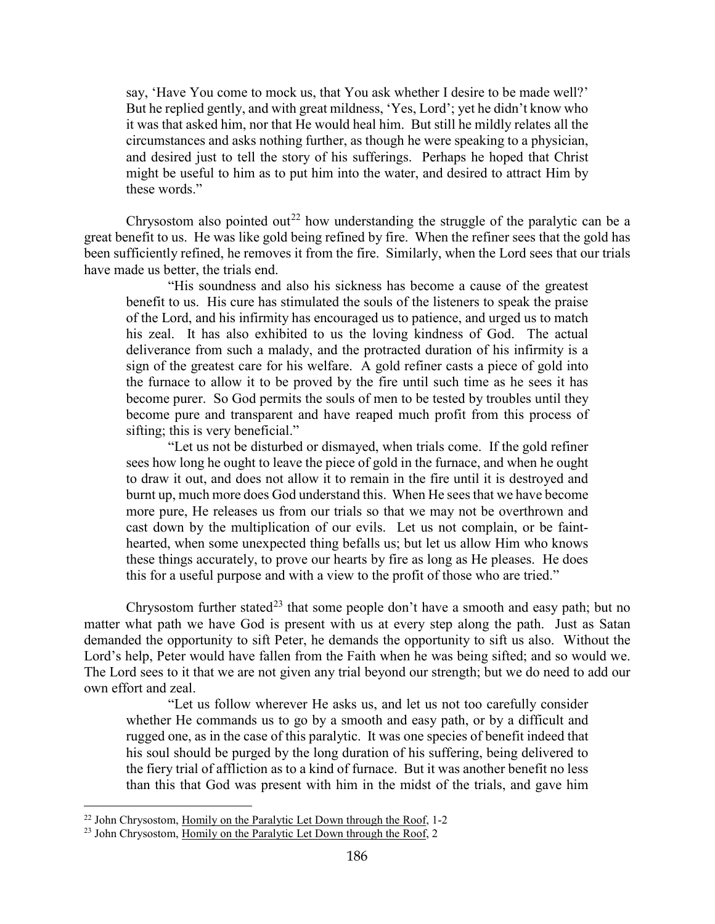say, 'Have You come to mock us, that You ask whether I desire to be made well?' But he replied gently, and with great mildness, 'Yes, Lord'; yet he didn't know who it was that asked him, nor that He would heal him. But still he mildly relates all the circumstances and asks nothing further, as though he were speaking to a physician, and desired just to tell the story of his sufferings. Perhaps he hoped that Christ might be useful to him as to put him into the water, and desired to attract Him by these words."

Chrysostom also pointed out<sup>[22](#page-10-0)</sup> how understanding the struggle of the paralytic can be a great benefit to us. He was like gold being refined by fire. When the refiner sees that the gold has been sufficiently refined, he removes it from the fire. Similarly, when the Lord sees that our trials have made us better, the trials end.

"His soundness and also his sickness has become a cause of the greatest benefit to us. His cure has stimulated the souls of the listeners to speak the praise of the Lord, and his infirmity has encouraged us to patience, and urged us to match his zeal. It has also exhibited to us the loving kindness of God. The actual deliverance from such a malady, and the protracted duration of his infirmity is a sign of the greatest care for his welfare. A gold refiner casts a piece of gold into the furnace to allow it to be proved by the fire until such time as he sees it has become purer. So God permits the souls of men to be tested by troubles until they become pure and transparent and have reaped much profit from this process of sifting; this is very beneficial."

"Let us not be disturbed or dismayed, when trials come. If the gold refiner sees how long he ought to leave the piece of gold in the furnace, and when he ought to draw it out, and does not allow it to remain in the fire until it is destroyed and burnt up, much more does God understand this. When He sees that we have become more pure, He releases us from our trials so that we may not be overthrown and cast down by the multiplication of our evils. Let us not complain, or be fainthearted, when some unexpected thing befalls us; but let us allow Him who knows these things accurately, to prove our hearts by fire as long as He pleases. He does this for a useful purpose and with a view to the profit of those who are tried."

Chrysostom further stated<sup>[23](#page-10-1)</sup> that some people don't have a smooth and easy path; but no matter what path we have God is present with us at every step along the path. Just as Satan demanded the opportunity to sift Peter, he demands the opportunity to sift us also. Without the Lord's help, Peter would have fallen from the Faith when he was being sifted; and so would we. The Lord sees to it that we are not given any trial beyond our strength; but we do need to add our own effort and zeal.

"Let us follow wherever He asks us, and let us not too carefully consider whether He commands us to go by a smooth and easy path, or by a difficult and rugged one, as in the case of this paralytic. It was one species of benefit indeed that his soul should be purged by the long duration of his suffering, being delivered to the fiery trial of affliction as to a kind of furnace. But it was another benefit no less than this that God was present with him in the midst of the trials, and gave him

<span id="page-10-0"></span><sup>&</sup>lt;sup>22</sup> John Chrysostom, Homily on the Paralytic Let Down through the Roof, 1-2

<span id="page-10-1"></span><sup>&</sup>lt;sup>23</sup> John Chrysostom, Homily on the Paralytic Let Down through the Roof, 2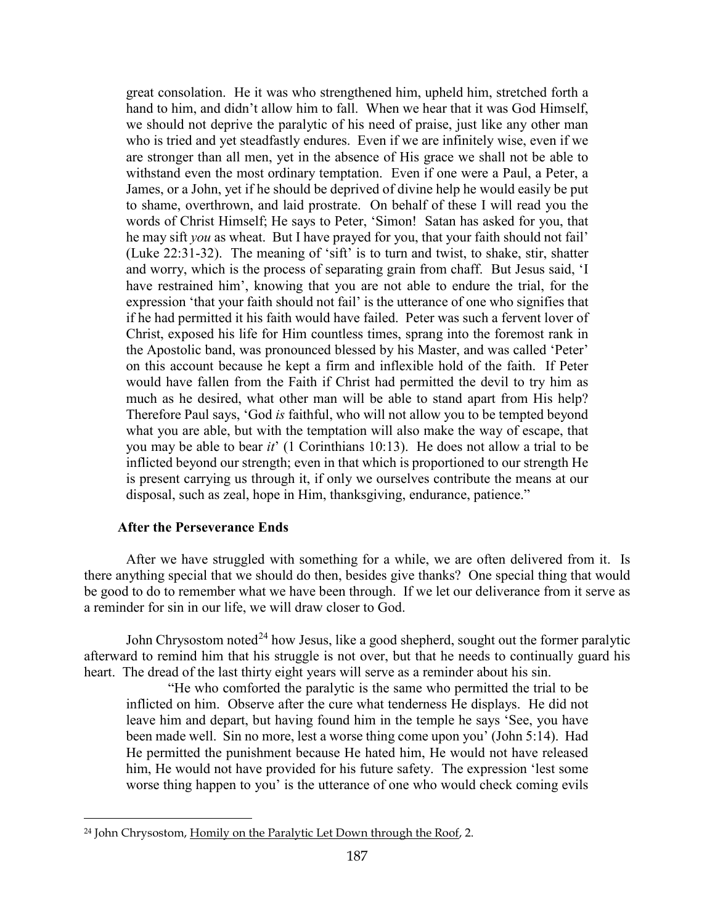great consolation. He it was who strengthened him, upheld him, stretched forth a hand to him, and didn't allow him to fall. When we hear that it was God Himself, we should not deprive the paralytic of his need of praise, just like any other man who is tried and yet steadfastly endures. Even if we are infinitely wise, even if we are stronger than all men, yet in the absence of His grace we shall not be able to withstand even the most ordinary temptation. Even if one were a Paul, a Peter, a James, or a John, yet if he should be deprived of divine help he would easily be put to shame, overthrown, and laid prostrate. On behalf of these I will read you the words of Christ Himself; He says to Peter, 'Simon! Satan has asked for you, that he may sift *you* as wheat. But I have prayed for you, that your faith should not fail' (Luke 22:31-32). The meaning of 'sift' is to turn and twist, to shake, stir, shatter and worry, which is the process of separating grain from chaff. But Jesus said, 'I have restrained him', knowing that you are not able to endure the trial, for the expression 'that your faith should not fail' is the utterance of one who signifies that if he had permitted it his faith would have failed. Peter was such a fervent lover of Christ, exposed his life for Him countless times, sprang into the foremost rank in the Apostolic band, was pronounced blessed by his Master, and was called 'Peter' on this account because he kept a firm and inflexible hold of the faith. If Peter would have fallen from the Faith if Christ had permitted the devil to try him as much as he desired, what other man will be able to stand apart from His help? Therefore Paul says, 'God *is* faithful, who will not allow you to be tempted beyond what you are able, but with the temptation will also make the way of escape, that you may be able to bear *it*' (1 Corinthians 10:13). He does not allow a trial to be inflicted beyond our strength; even in that which is proportioned to our strength He is present carrying us through it, if only we ourselves contribute the means at our disposal, such as zeal, hope in Him, thanksgiving, endurance, patience."

## **After the Perseverance Ends**

<span id="page-11-0"></span>After we have struggled with something for a while, we are often delivered from it. Is there anything special that we should do then, besides give thanks? One special thing that would be good to do to remember what we have been through. If we let our deliverance from it serve as a reminder for sin in our life, we will draw closer to God.

John Chrysostom noted<sup>[24](#page-11-1)</sup> how Jesus, like a good shepherd, sought out the former paralytic afterward to remind him that his struggle is not over, but that he needs to continually guard his heart. The dread of the last thirty eight years will serve as a reminder about his sin.

"He who comforted the paralytic is the same who permitted the trial to be inflicted on him. Observe after the cure what tenderness He displays. He did not leave him and depart, but having found him in the temple he says 'See, you have been made well. Sin no more, lest a worse thing come upon you' (John 5:14). Had He permitted the punishment because He hated him, He would not have released him, He would not have provided for his future safety. The expression 'lest some worse thing happen to you' is the utterance of one who would check coming evils

<span id="page-11-1"></span> <sup>24</sup> John Chrysostom, Homily on the Paralytic Let Down through the Roof, 2.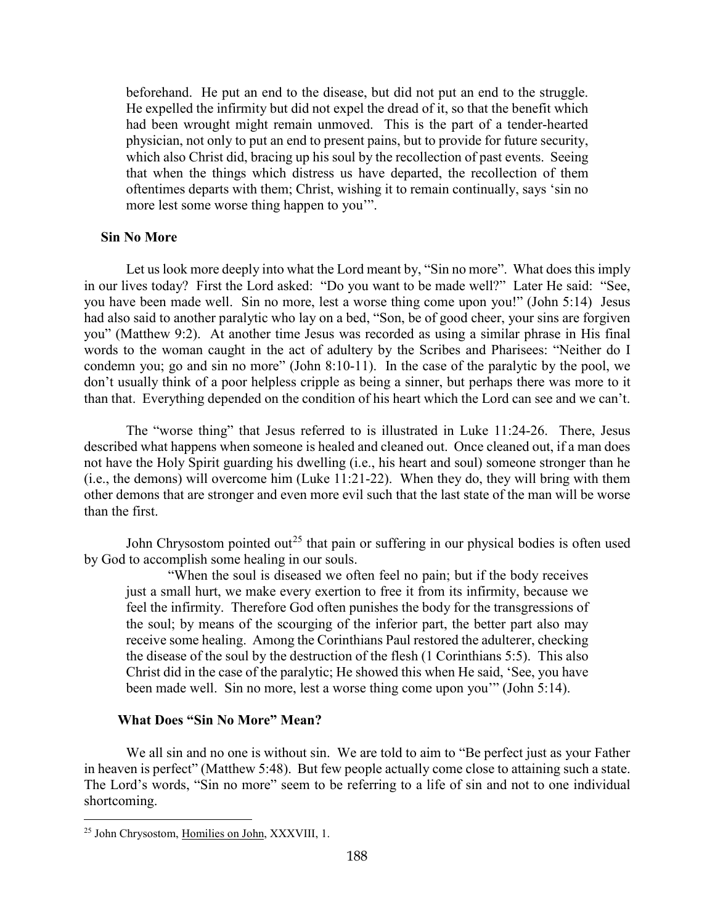beforehand. He put an end to the disease, but did not put an end to the struggle. He expelled the infirmity but did not expel the dread of it, so that the benefit which had been wrought might remain unmoved. This is the part of a tender-hearted physician, not only to put an end to present pains, but to provide for future security, which also Christ did, bracing up his soul by the recollection of past events. Seeing that when the things which distress us have departed, the recollection of them oftentimes departs with them; Christ, wishing it to remain continually, says 'sin no more lest some worse thing happen to you'".

#### <span id="page-12-0"></span>**Sin No More**

Let us look more deeply into what the Lord meant by, "Sin no more". What does this imply in our lives today? First the Lord asked: "Do you want to be made well?" Later He said: "See, you have been made well. Sin no more, lest a worse thing come upon you!" (John 5:14) Jesus had also said to another paralytic who lay on a bed, "Son, be of good cheer, your sins are forgiven you" (Matthew 9:2). At another time Jesus was recorded as using a similar phrase in His final words to the woman caught in the act of adultery by the Scribes and Pharisees: "Neither do I condemn you; go and sin no more" (John 8:10-11). In the case of the paralytic by the pool, we don't usually think of a poor helpless cripple as being a sinner, but perhaps there was more to it than that. Everything depended on the condition of his heart which the Lord can see and we can't.

The "worse thing" that Jesus referred to is illustrated in Luke 11:24-26. There, Jesus described what happens when someone is healed and cleaned out. Once cleaned out, if a man does not have the Holy Spirit guarding his dwelling (i.e., his heart and soul) someone stronger than he (i.e., the demons) will overcome him (Luke 11:21-22). When they do, they will bring with them other demons that are stronger and even more evil such that the last state of the man will be worse than the first.

John Chrysostom pointed out<sup>[25](#page-12-2)</sup> that pain or suffering in our physical bodies is often used by God to accomplish some healing in our souls.

"When the soul is diseased we often feel no pain; but if the body receives just a small hurt, we make every exertion to free it from its infirmity, because we feel the infirmity. Therefore God often punishes the body for the transgressions of the soul; by means of the scourging of the inferior part, the better part also may receive some healing. Among the Corinthians Paul restored the adulterer, checking the disease of the soul by the destruction of the flesh (1 Corinthians 5:5). This also Christ did in the case of the paralytic; He showed this when He said, 'See, you have been made well. Sin no more, lest a worse thing come upon you'" (John 5:14).

#### **What Does "Sin No More" Mean?**

<span id="page-12-1"></span>We all sin and no one is without sin. We are told to aim to "Be perfect just as your Father in heaven is perfect" (Matthew 5:48). But few people actually come close to attaining such a state. The Lord's words, "Sin no more" seem to be referring to a life of sin and not to one individual shortcoming.

<span id="page-12-2"></span><sup>25</sup> John Chrysostom, Homilies on John, XXXVIII, 1.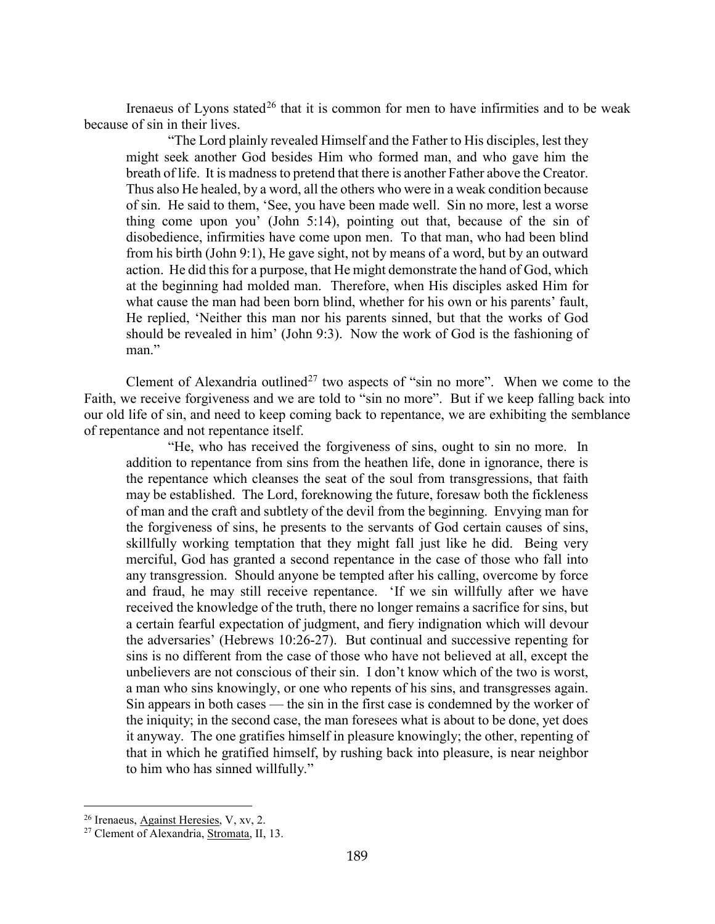Irenaeus of Lyons stated<sup>[26](#page-13-0)</sup> that it is common for men to have infirmities and to be weak because of sin in their lives.

"The Lord plainly revealed Himself and the Father to His disciples, lest they might seek another God besides Him who formed man, and who gave him the breath of life. It is madness to pretend that there is another Father above the Creator. Thus also He healed, by a word, all the others who were in a weak condition because of sin. He said to them, 'See, you have been made well. Sin no more, lest a worse thing come upon you' (John 5:14), pointing out that, because of the sin of disobedience, infirmities have come upon men. To that man, who had been blind from his birth (John 9:1), He gave sight, not by means of a word, but by an outward action. He did this for a purpose, that He might demonstrate the hand of God, which at the beginning had molded man. Therefore, when His disciples asked Him for what cause the man had been born blind, whether for his own or his parents' fault, He replied, 'Neither this man nor his parents sinned, but that the works of God should be revealed in him' (John 9:3). Now the work of God is the fashioning of man."

Clement of Alexandria outlined<sup>[27](#page-13-1)</sup> two aspects of "sin no more". When we come to the Faith, we receive forgiveness and we are told to "sin no more". But if we keep falling back into our old life of sin, and need to keep coming back to repentance, we are exhibiting the semblance of repentance and not repentance itself.

"He, who has received the forgiveness of sins, ought to sin no more. In addition to repentance from sins from the heathen life, done in ignorance, there is the repentance which cleanses the seat of the soul from transgressions, that faith may be established. The Lord, foreknowing the future, foresaw both the fickleness of man and the craft and subtlety of the devil from the beginning. Envying man for the forgiveness of sins, he presents to the servants of God certain causes of sins, skillfully working temptation that they might fall just like he did. Being very merciful, God has granted a second repentance in the case of those who fall into any transgression. Should anyone be tempted after his calling, overcome by force and fraud, he may still receive repentance. 'If we sin willfully after we have received the knowledge of the truth, there no longer remains a sacrifice for sins, but a certain fearful expectation of judgment, and fiery indignation which will devour the adversaries' (Hebrews 10:26-27). But continual and successive repenting for sins is no different from the case of those who have not believed at all, except the unbelievers are not conscious of their sin. I don't know which of the two is worst, a man who sins knowingly, or one who repents of his sins, and transgresses again. Sin appears in both cases — the sin in the first case is condemned by the worker of the iniquity; in the second case, the man foresees what is about to be done, yet does it anyway. The one gratifies himself in pleasure knowingly; the other, repenting of that in which he gratified himself, by rushing back into pleasure, is near neighbor to him who has sinned willfully."

<span id="page-13-0"></span><sup>&</sup>lt;sup>26</sup> Irenaeus, **Against Heresies**, V, xv, 2.

<span id="page-13-1"></span><sup>27</sup> Clement of Alexandria, Stromata, II, 13.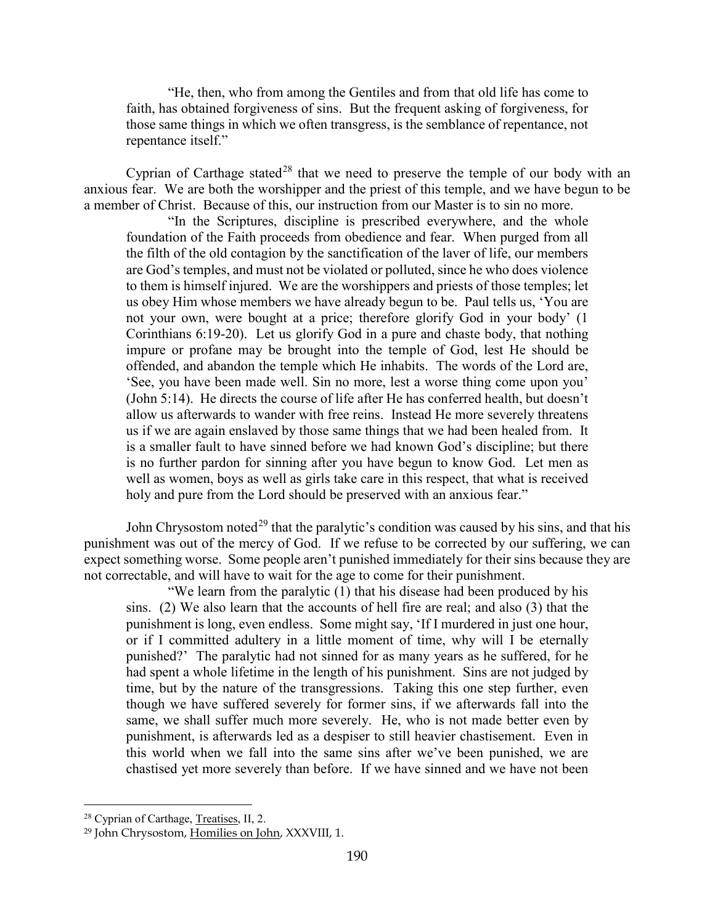"He, then, who from among the Gentiles and from that old life has come to faith, has obtained forgiveness of sins. But the frequent asking of forgiveness, for those same things in which we often transgress, is the semblance of repentance, not repentance itself."

Cyprian of Carthage stated<sup>[28](#page-14-0)</sup> that we need to preserve the temple of our body with an anxious fear. We are both the worshipper and the priest of this temple, and we have begun to be a member of Christ. Because of this, our instruction from our Master is to sin no more.

"In the Scriptures, discipline is prescribed everywhere, and the whole foundation of the Faith proceeds from obedience and fear. When purged from all the filth of the old contagion by the sanctification of the laver of life, our members are God's temples, and must not be violated or polluted, since he who does violence to them is himself injured. We are the worshippers and priests of those temples; let us obey Him whose members we have already begun to be. Paul tells us, 'You are not your own, were bought at a price; therefore glorify God in your body' (1 Corinthians 6:19-20). Let us glorify God in a pure and chaste body, that nothing impure or profane may be brought into the temple of God, lest He should be offended, and abandon the temple which He inhabits. The words of the Lord are, 'See, you have been made well. Sin no more, lest a worse thing come upon you' (John 5:14). He directs the course of life after He has conferred health, but doesn't allow us afterwards to wander with free reins. Instead He more severely threatens us if we are again enslaved by those same things that we had been healed from. It is a smaller fault to have sinned before we had known God's discipline; but there is no further pardon for sinning after you have begun to know God. Let men as well as women, boys as well as girls take care in this respect, that what is received holy and pure from the Lord should be preserved with an anxious fear."

John Chrysostom noted<sup>[29](#page-14-1)</sup> that the paralytic's condition was caused by his sins, and that his punishment was out of the mercy of God. If we refuse to be corrected by our suffering, we can expect something worse. Some people aren't punished immediately for their sins because they are not correctable, and will have to wait for the age to come for their punishment.

"We learn from the paralytic (1) that his disease had been produced by his sins. (2) We also learn that the accounts of hell fire are real; and also (3) that the punishment is long, even endless. Some might say, 'If I murdered in just one hour, or if I committed adultery in a little moment of time, why will I be eternally punished?' The paralytic had not sinned for as many years as he suffered, for he had spent a whole lifetime in the length of his punishment. Sins are not judged by time, but by the nature of the transgressions. Taking this one step further, even though we have suffered severely for former sins, if we afterwards fall into the same, we shall suffer much more severely. He, who is not made better even by punishment, is afterwards led as a despiser to still heavier chastisement. Even in this world when we fall into the same sins after we've been punished, we are chastised yet more severely than before. If we have sinned and we have not been

<span id="page-14-0"></span><sup>28</sup> Cyprian of Carthage, Treatises, II, 2.

<span id="page-14-1"></span><sup>29</sup> John Chrysostom, Homilies on John, XXXVIII, 1.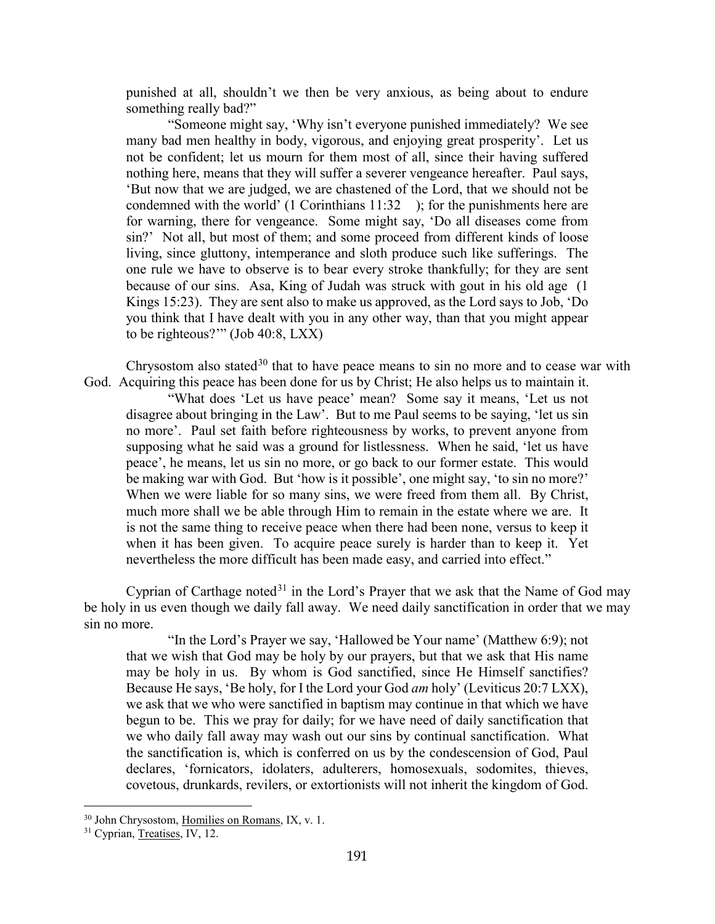punished at all, shouldn't we then be very anxious, as being about to endure something really bad?"

"Someone might say, 'Why isn't everyone punished immediately? We see many bad men healthy in body, vigorous, and enjoying great prosperity'. Let us not be confident; let us mourn for them most of all, since their having suffered nothing here, means that they will suffer a severer vengeance hereafter. Paul says, 'But now that we are judged, we are chastened of the Lord, that we should not be condemned with the world' (1 Corinthians 11:32 ); for the punishments here are for warning, there for vengeance. Some might say, 'Do all diseases come from sin?' Not all, but most of them; and some proceed from different kinds of loose living, since gluttony, intemperance and sloth produce such like sufferings. The one rule we have to observe is to bear every stroke thankfully; for they are sent because of our sins. Asa, King of Judah was struck with gout in his old age (1 Kings 15:23). They are sent also to make us approved, as the Lord says to Job, 'Do you think that I have dealt with you in any other way, than that you might appear to be righteous?'" (Job 40:8, LXX)

Chrysostom also stated<sup>[30](#page-15-0)</sup> that to have peace means to sin no more and to cease war with God. Acquiring this peace has been done for us by Christ; He also helps us to maintain it.

"What does 'Let us have peace' mean? Some say it means, 'Let us not disagree about bringing in the Law'. But to me Paul seems to be saying, 'let us sin no more'. Paul set faith before righteousness by works, to prevent anyone from supposing what he said was a ground for listlessness. When he said, 'let us have peace', he means, let us sin no more, or go back to our former estate. This would be making war with God. But 'how is it possible', one might say, 'to sin no more?' When we were liable for so many sins, we were freed from them all. By Christ, much more shall we be able through Him to remain in the estate where we are. It is not the same thing to receive peace when there had been none, versus to keep it when it has been given. To acquire peace surely is harder than to keep it. Yet nevertheless the more difficult has been made easy, and carried into effect."

Cyprian of Carthage noted $31$  in the Lord's Prayer that we ask that the Name of God may be holy in us even though we daily fall away. We need daily sanctification in order that we may sin no more.

"In the Lord's Prayer we say, 'Hallowed be Your name' (Matthew 6:9); not that we wish that God may be holy by our prayers, but that we ask that His name may be holy in us. By whom is God sanctified, since He Himself sanctifies? Because He says, 'Be holy, for I the Lord your God *am* holy' (Leviticus 20:7 LXX), we ask that we who were sanctified in baptism may continue in that which we have begun to be. This we pray for daily; for we have need of daily sanctification that we who daily fall away may wash out our sins by continual sanctification. What the sanctification is, which is conferred on us by the condescension of God, Paul declares, 'fornicators, idolaters, adulterers, homosexuals, sodomites, thieves, covetous, drunkards, revilers, or extortionists will not inherit the kingdom of God.

<span id="page-15-0"></span><sup>&</sup>lt;sup>30</sup> John Chrysostom, Homilies on Romans, IX, v. 1.

<span id="page-15-1"></span><sup>&</sup>lt;sup>31</sup> Cyprian, Treatises, IV, 12.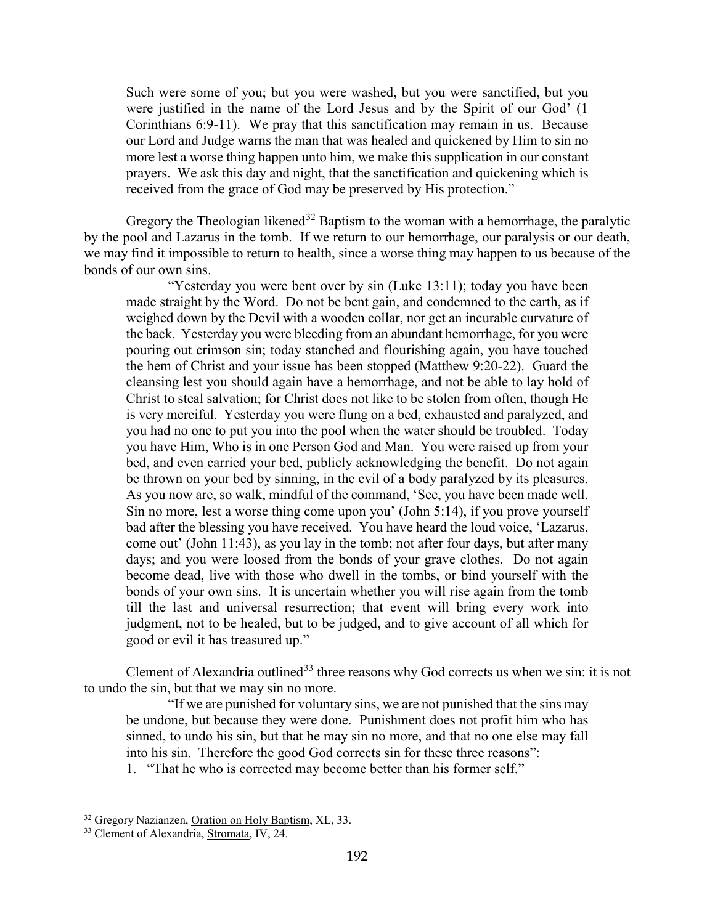Such were some of you; but you were washed, but you were sanctified, but you were justified in the name of the Lord Jesus and by the Spirit of our God' (1 Corinthians 6:9-11). We pray that this sanctification may remain in us. Because our Lord and Judge warns the man that was healed and quickened by Him to sin no more lest a worse thing happen unto him, we make this supplication in our constant prayers. We ask this day and night, that the sanctification and quickening which is received from the grace of God may be preserved by His protection."

Gregory the Theologian likened<sup>[32](#page-16-0)</sup> Baptism to the woman with a hemorrhage, the paralytic by the pool and Lazarus in the tomb. If we return to our hemorrhage, our paralysis or our death, we may find it impossible to return to health, since a worse thing may happen to us because of the bonds of our own sins.

"Yesterday you were bent over by sin (Luke 13:11); today you have been made straight by the Word. Do not be bent gain, and condemned to the earth, as if weighed down by the Devil with a wooden collar, nor get an incurable curvature of the back. Yesterday you were bleeding from an abundant hemorrhage, for you were pouring out crimson sin; today stanched and flourishing again, you have touched the hem of Christ and your issue has been stopped (Matthew 9:20-22). Guard the cleansing lest you should again have a hemorrhage, and not be able to lay hold of Christ to steal salvation; for Christ does not like to be stolen from often, though He is very merciful. Yesterday you were flung on a bed, exhausted and paralyzed, and you had no one to put you into the pool when the water should be troubled. Today you have Him, Who is in one Person God and Man. You were raised up from your bed, and even carried your bed, publicly acknowledging the benefit. Do not again be thrown on your bed by sinning, in the evil of a body paralyzed by its pleasures. As you now are, so walk, mindful of the command, 'See, you have been made well. Sin no more, lest a worse thing come upon you' (John 5:14), if you prove yourself bad after the blessing you have received. You have heard the loud voice, 'Lazarus, come out' (John 11:43), as you lay in the tomb; not after four days, but after many days; and you were loosed from the bonds of your grave clothes. Do not again become dead, live with those who dwell in the tombs, or bind yourself with the bonds of your own sins. It is uncertain whether you will rise again from the tomb till the last and universal resurrection; that event will bring every work into judgment, not to be healed, but to be judged, and to give account of all which for good or evil it has treasured up."

Clement of Alexandria outlined<sup>[33](#page-16-1)</sup> three reasons why God corrects us when we sin: it is not to undo the sin, but that we may sin no more.

"If we are punished for voluntary sins, we are not punished that the sins may be undone, but because they were done. Punishment does not profit him who has sinned, to undo his sin, but that he may sin no more, and that no one else may fall into his sin. Therefore the good God corrects sin for these three reasons":

1. "That he who is corrected may become better than his former self."

<span id="page-16-0"></span><sup>&</sup>lt;sup>32</sup> Gregory Nazianzen, Oration on Holy Baptism, XL, 33.

<span id="page-16-1"></span><sup>&</sup>lt;sup>33</sup> Clement of Alexandria, Stromata, IV, 24.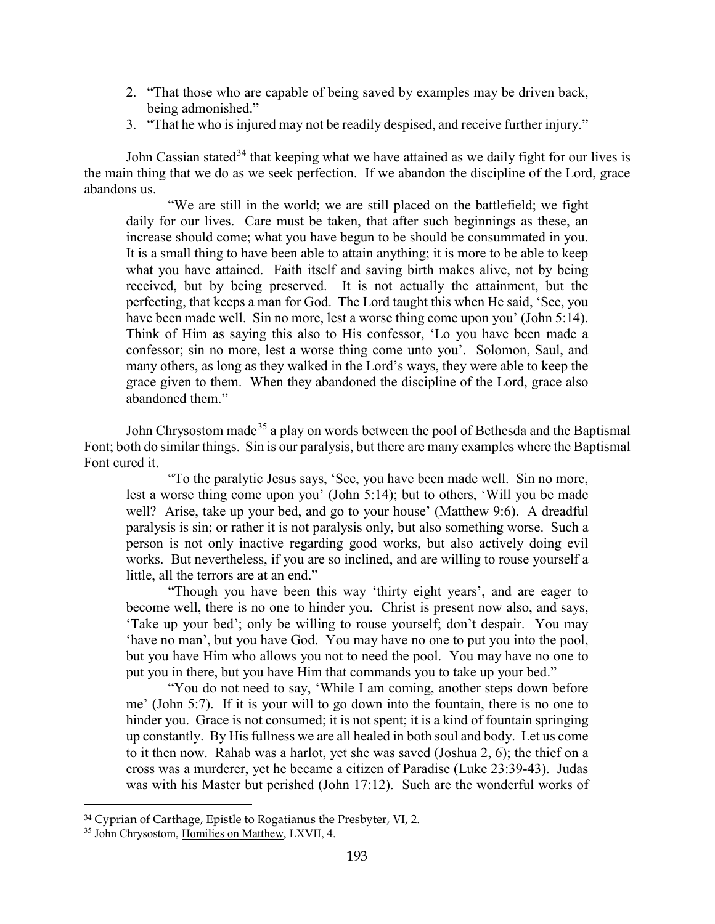- 2. "That those who are capable of being saved by examples may be driven back, being admonished."
- 3. "That he who is injured may not be readily despised, and receive further injury."

John Cassian stated<sup>[34](#page-17-0)</sup> that keeping what we have attained as we daily fight for our lives is the main thing that we do as we seek perfection. If we abandon the discipline of the Lord, grace abandons us.

"We are still in the world; we are still placed on the battlefield; we fight daily for our lives. Care must be taken, that after such beginnings as these, an increase should come; what you have begun to be should be consummated in you. It is a small thing to have been able to attain anything; it is more to be able to keep what you have attained. Faith itself and saving birth makes alive, not by being received, but by being preserved. It is not actually the attainment, but the perfecting, that keeps a man for God. The Lord taught this when He said, 'See, you have been made well. Sin no more, lest a worse thing come upon you' (John 5:14). Think of Him as saying this also to His confessor, 'Lo you have been made a confessor; sin no more, lest a worse thing come unto you'. Solomon, Saul, and many others, as long as they walked in the Lord's ways, they were able to keep the grace given to them. When they abandoned the discipline of the Lord, grace also abandoned them."

John Chrysostom made<sup>[35](#page-17-1)</sup> a play on words between the pool of Bethesda and the Baptismal Font; both do similar things. Sin is our paralysis, but there are many examples where the Baptismal Font cured it.

"To the paralytic Jesus says, 'See, you have been made well. Sin no more, lest a worse thing come upon you' (John 5:14); but to others, 'Will you be made well? Arise, take up your bed, and go to your house' (Matthew 9:6). A dreadful paralysis is sin; or rather it is not paralysis only, but also something worse. Such a person is not only inactive regarding good works, but also actively doing evil works. But nevertheless, if you are so inclined, and are willing to rouse yourself a little, all the terrors are at an end."

"Though you have been this way 'thirty eight years', and are eager to become well, there is no one to hinder you. Christ is present now also, and says, 'Take up your bed'; only be willing to rouse yourself; don't despair. You may 'have no man', but you have God. You may have no one to put you into the pool, but you have Him who allows you not to need the pool. You may have no one to put you in there, but you have Him that commands you to take up your bed."

"You do not need to say, 'While I am coming, another steps down before me' (John 5:7). If it is your will to go down into the fountain, there is no one to hinder you. Grace is not consumed; it is not spent; it is a kind of fountain springing up constantly. By His fullness we are all healed in both soul and body. Let us come to it then now. Rahab was a harlot, yet she was saved (Joshua 2, 6); the thief on a cross was a murderer, yet he became a citizen of Paradise (Luke 23:39-43). Judas was with his Master but perished (John 17:12). Such are the wonderful works of

<span id="page-17-0"></span><sup>&</sup>lt;sup>34</sup> Cyprian of Carthage, Epistle to Rogatianus the Presbyter, VI, 2.

<span id="page-17-1"></span><sup>35</sup> John Chrysostom, Homilies on Matthew, LXVII, 4.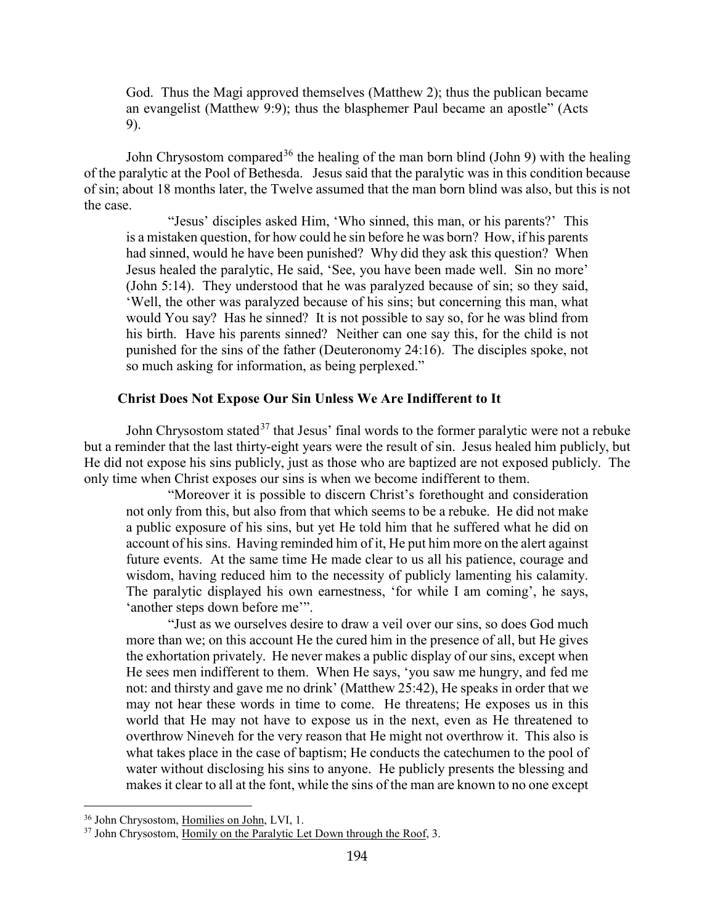God. Thus the Magi approved themselves (Matthew 2); thus the publican became an evangelist (Matthew 9:9); thus the blasphemer Paul became an apostle" (Acts 9).

John Chrysostom compared<sup>[36](#page-18-1)</sup> the healing of the man born blind (John 9) with the healing of the paralytic at the Pool of Bethesda. Jesus said that the paralytic was in this condition because of sin; about 18 months later, the Twelve assumed that the man born blind was also, but this is not the case.

"Jesus' disciples asked Him, 'Who sinned, this man, or his parents?' This is a mistaken question, for how could he sin before he was born? How, if his parents had sinned, would he have been punished? Why did they ask this question? When Jesus healed the paralytic, He said, 'See, you have been made well. Sin no more' (John 5:14). They understood that he was paralyzed because of sin; so they said, 'Well, the other was paralyzed because of his sins; but concerning this man, what would You say? Has he sinned? It is not possible to say so, for he was blind from his birth. Have his parents sinned? Neither can one say this, for the child is not punished for the sins of the father (Deuteronomy 24:16). The disciples spoke, not so much asking for information, as being perplexed."

#### **Christ Does Not Expose Our Sin Unless We Are Indifferent to It**

<span id="page-18-0"></span>John Chrysostom stated<sup>[37](#page-18-2)</sup> that Jesus' final words to the former paralytic were not a rebuke but a reminder that the last thirty-eight years were the result of sin. Jesus healed him publicly, but He did not expose his sins publicly, just as those who are baptized are not exposed publicly. The only time when Christ exposes our sins is when we become indifferent to them.

"Moreover it is possible to discern Christ's forethought and consideration not only from this, but also from that which seems to be a rebuke. He did not make a public exposure of his sins, but yet He told him that he suffered what he did on account of his sins. Having reminded him of it, He put him more on the alert against future events. At the same time He made clear to us all his patience, courage and wisdom, having reduced him to the necessity of publicly lamenting his calamity. The paralytic displayed his own earnestness, 'for while I am coming', he says, 'another steps down before me'".

"Just as we ourselves desire to draw a veil over our sins, so does God much more than we; on this account He the cured him in the presence of all, but He gives the exhortation privately. He never makes a public display of our sins, except when He sees men indifferent to them. When He says, 'you saw me hungry, and fed me not: and thirsty and gave me no drink' (Matthew 25:42), He speaks in order that we may not hear these words in time to come. He threatens; He exposes us in this world that He may not have to expose us in the next, even as He threatened to overthrow Nineveh for the very reason that He might not overthrow it. This also is what takes place in the case of baptism; He conducts the catechumen to the pool of water without disclosing his sins to anyone. He publicly presents the blessing and makes it clear to all at the font, while the sins of the man are known to no one except

<span id="page-18-1"></span><sup>&</sup>lt;sup>36</sup> John Chrysostom, Homilies on John, LVI, 1.

<span id="page-18-2"></span><sup>&</sup>lt;sup>37</sup> John Chrysostom, Homily on the Paralytic Let Down through the Roof, 3.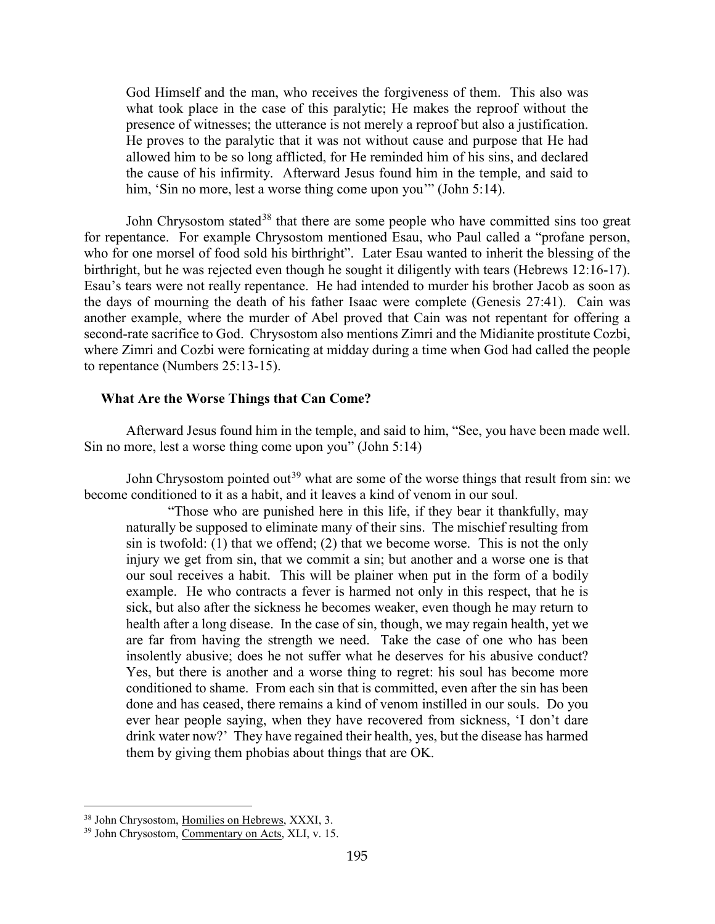God Himself and the man, who receives the forgiveness of them. This also was what took place in the case of this paralytic; He makes the reproof without the presence of witnesses; the utterance is not merely a reproof but also a justification. He proves to the paralytic that it was not without cause and purpose that He had allowed him to be so long afflicted, for He reminded him of his sins, and declared the cause of his infirmity. Afterward Jesus found him in the temple, and said to him, 'Sin no more, lest a worse thing come upon you'" (John 5:14).

John Chrysostom stated<sup>[38](#page-19-1)</sup> that there are some people who have committed sins too great for repentance. For example Chrysostom mentioned Esau, who Paul called a "profane person, who for one morsel of food sold his birthright". Later Esau wanted to inherit the blessing of the birthright, but he was rejected even though he sought it diligently with tears (Hebrews 12:16-17). Esau's tears were not really repentance. He had intended to murder his brother Jacob as soon as the days of mourning the death of his father Isaac were complete (Genesis 27:41). Cain was another example, where the murder of Abel proved that Cain was not repentant for offering a second-rate sacrifice to God. Chrysostom also mentions Zimri and the Midianite prostitute Cozbi, where Zimri and Cozbi were fornicating at midday during a time when God had called the people to repentance (Numbers 25:13-15).

#### <span id="page-19-0"></span>**What Are the Worse Things that Can Come?**

Afterward Jesus found him in the temple, and said to him, "See, you have been made well. Sin no more, lest a worse thing come upon you" (John 5:14)

John Chrysostom pointed out<sup>[39](#page-19-2)</sup> what are some of the worse things that result from sin: we become conditioned to it as a habit, and it leaves a kind of venom in our soul.

"Those who are punished here in this life, if they bear it thankfully, may naturally be supposed to eliminate many of their sins. The mischief resulting from sin is twofold: (1) that we offend; (2) that we become worse. This is not the only injury we get from sin, that we commit a sin; but another and a worse one is that our soul receives a habit. This will be plainer when put in the form of a bodily example. He who contracts a fever is harmed not only in this respect, that he is sick, but also after the sickness he becomes weaker, even though he may return to health after a long disease. In the case of sin, though, we may regain health, yet we are far from having the strength we need. Take the case of one who has been insolently abusive; does he not suffer what he deserves for his abusive conduct? Yes, but there is another and a worse thing to regret: his soul has become more conditioned to shame. From each sin that is committed, even after the sin has been done and has ceased, there remains a kind of venom instilled in our souls. Do you ever hear people saying, when they have recovered from sickness, 'I don't dare drink water now?' They have regained their health, yes, but the disease has harmed them by giving them phobias about things that are OK.

<span id="page-19-1"></span><sup>&</sup>lt;sup>38</sup> John Chrysostom, Homilies on Hebrews, XXXI, 3.

<span id="page-19-2"></span><sup>39</sup> John Chrysostom, Commentary on Acts, XLI, v. 15.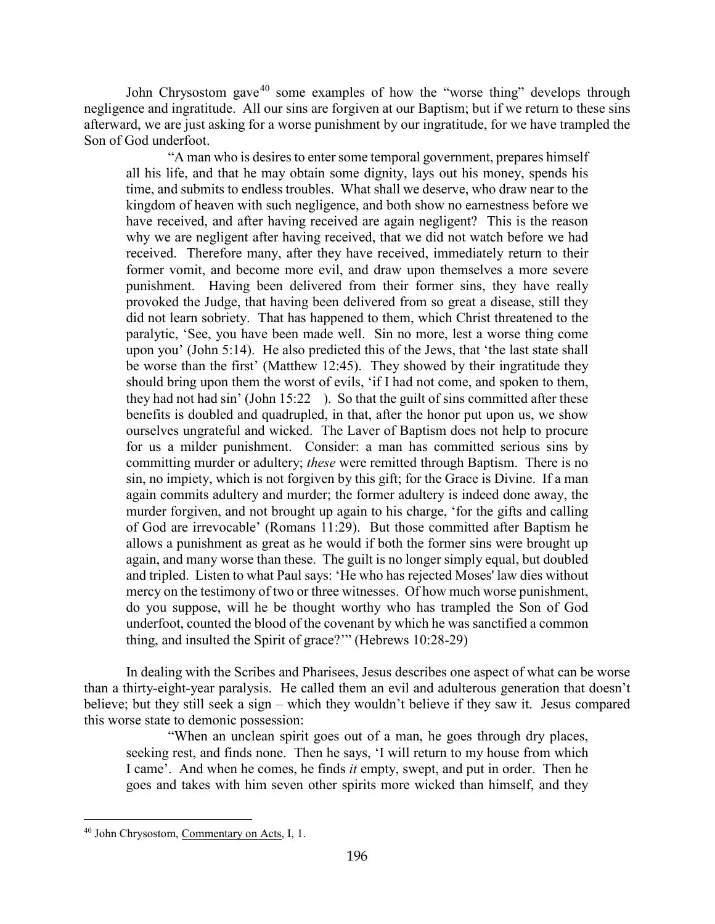John Chrysostom gave $40$  some examples of how the "worse thing" develops through negligence and ingratitude. All our sins are forgiven at our Baptism; but if we return to these sins afterward, we are just asking for a worse punishment by our ingratitude, for we have trampled the Son of God underfoot.

"A man who is desires to enter some temporal government, prepares himself all his life, and that he may obtain some dignity, lays out his money, spends his time, and submits to endless troubles. What shall we deserve, who draw near to the kingdom of heaven with such negligence, and both show no earnestness before we have received, and after having received are again negligent? This is the reason why we are negligent after having received, that we did not watch before we had received. Therefore many, after they have received, immediately return to their former vomit, and become more evil, and draw upon themselves a more severe punishment. Having been delivered from their former sins, they have really provoked the Judge, that having been delivered from so great a disease, still they did not learn sobriety. That has happened to them, which Christ threatened to the paralytic, 'See, you have been made well. Sin no more, lest a worse thing come upon you' (John 5:14). He also predicted this of the Jews, that 'the last state shall be worse than the first' (Matthew 12:45). They showed by their ingratitude they should bring upon them the worst of evils, 'if I had not come, and spoken to them, they had not had sin' (John 15:22 ). So that the guilt of sins committed after these benefits is doubled and quadrupled, in that, after the honor put upon us, we show ourselves ungrateful and wicked. The Laver of Baptism does not help to procure for us a milder punishment. Consider: a man has committed serious sins by committing murder or adultery; *these* were remitted through Baptism. There is no sin, no impiety, which is not forgiven by this gift; for the Grace is Divine. If a man again commits adultery and murder; the former adultery is indeed done away, the murder forgiven, and not brought up again to his charge, 'for the gifts and calling of God are irrevocable' (Romans 11:29). But those committed after Baptism he allows a punishment as great as he would if both the former sins were brought up again, and many worse than these. The guilt is no longer simply equal, but doubled and tripled. Listen to what Paul says: 'He who has rejected Moses' law dies without mercy on the testimony of two or three witnesses. Of how much worse punishment, do you suppose, will he be thought worthy who has trampled the Son of God underfoot, counted the blood of the covenant by which he was sanctified a common thing, and insulted the Spirit of grace?'" (Hebrews 10:28-29)

In dealing with the Scribes and Pharisees, Jesus describes one aspect of what can be worse than a thirty-eight-year paralysis. He called them an evil and adulterous generation that doesn't believe; but they still seek a sign – which they wouldn't believe if they saw it. Jesus compared this worse state to demonic possession:

"When an unclean spirit goes out of a man, he goes through dry places, seeking rest, and finds none. Then he says, 'I will return to my house from which I came'. And when he comes, he finds *it* empty, swept, and put in order. Then he goes and takes with him seven other spirits more wicked than himself, and they

<span id="page-20-0"></span><sup>40</sup> John Chrysostom, Commentary on Acts, I, 1.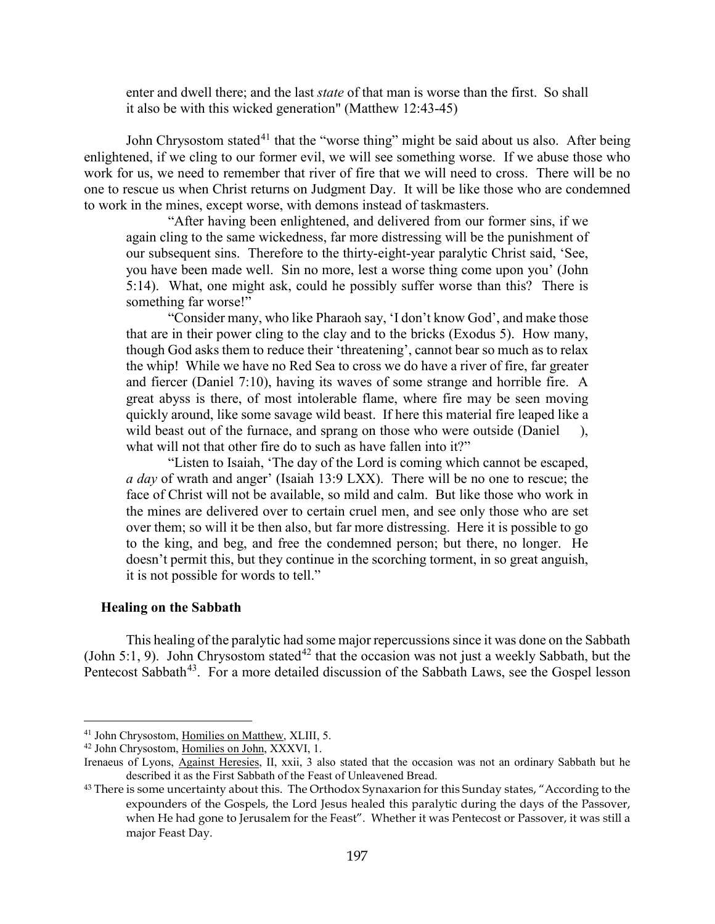enter and dwell there; and the last *state* of that man is worse than the first. So shall it also be with this wicked generation" (Matthew 12:43-45)

John Chrysostom stated<sup>[41](#page-21-1)</sup> that the "worse thing" might be said about us also. After being enlightened, if we cling to our former evil, we will see something worse. If we abuse those who work for us, we need to remember that river of fire that we will need to cross. There will be no one to rescue us when Christ returns on Judgment Day. It will be like those who are condemned to work in the mines, except worse, with demons instead of taskmasters.

"After having been enlightened, and delivered from our former sins, if we again cling to the same wickedness, far more distressing will be the punishment of our subsequent sins. Therefore to the thirty-eight-year paralytic Christ said, 'See, you have been made well. Sin no more, lest a worse thing come upon you' (John 5:14). What, one might ask, could he possibly suffer worse than this? There is something far worse!"

"Consider many, who like Pharaoh say, 'I don't know God', and make those that are in their power cling to the clay and to the bricks (Exodus 5). How many, though God asks them to reduce their 'threatening', cannot bear so much as to relax the whip! While we have no Red Sea to cross we do have a river of fire, far greater and fiercer (Daniel 7:10), having its waves of some strange and horrible fire. A great abyss is there, of most intolerable flame, where fire may be seen moving quickly around, like some savage wild beast. If here this material fire leaped like a wild beast out of the furnace, and sprang on those who were outside (Daniel), what will not that other fire do to such as have fallen into it?"

"Listen to Isaiah, 'The day of the Lord is coming which cannot be escaped, *a day* of wrath and anger' (Isaiah 13:9 LXX). There will be no one to rescue; the face of Christ will not be available, so mild and calm. But like those who work in the mines are delivered over to certain cruel men, and see only those who are set over them; so will it be then also, but far more distressing. Here it is possible to go to the king, and beg, and free the condemned person; but there, no longer. He doesn't permit this, but they continue in the scorching torment, in so great anguish, it is not possible for words to tell."

#### <span id="page-21-0"></span>**Healing on the Sabbath**

 $\overline{a}$ 

This healing of the paralytic had some major repercussions since it was done on the Sabbath (John 5:1, 9). John Chrysostom stated<sup>[42](#page-21-2)</sup> that the occasion was not just a weekly Sabbath, but the Pentecost Sabbath<sup>43</sup>. For a more detailed discussion of the Sabbath Laws, see the Gospel lesson

<span id="page-21-1"></span><sup>&</sup>lt;sup>41</sup> John Chrysostom, Homilies on Matthew, XLIII, 5.

<span id="page-21-2"></span><sup>42</sup> John Chrysostom, Homilies on John, XXXVI, 1.

Irenaeus of Lyons, Against Heresies, II, xxii, 3 also stated that the occasion was not an ordinary Sabbath but he described it as the First Sabbath of the Feast of Unleavened Bread.

<span id="page-21-3"></span><sup>&</sup>lt;sup>43</sup> There is some uncertainty about this. The Orthodox Synaxarion for this Sunday states, "According to the expounders of the Gospels, the Lord Jesus healed this paralytic during the days of the Passover, when He had gone to Jerusalem for the Feast". Whether it was Pentecost or Passover, it was still a major Feast Day.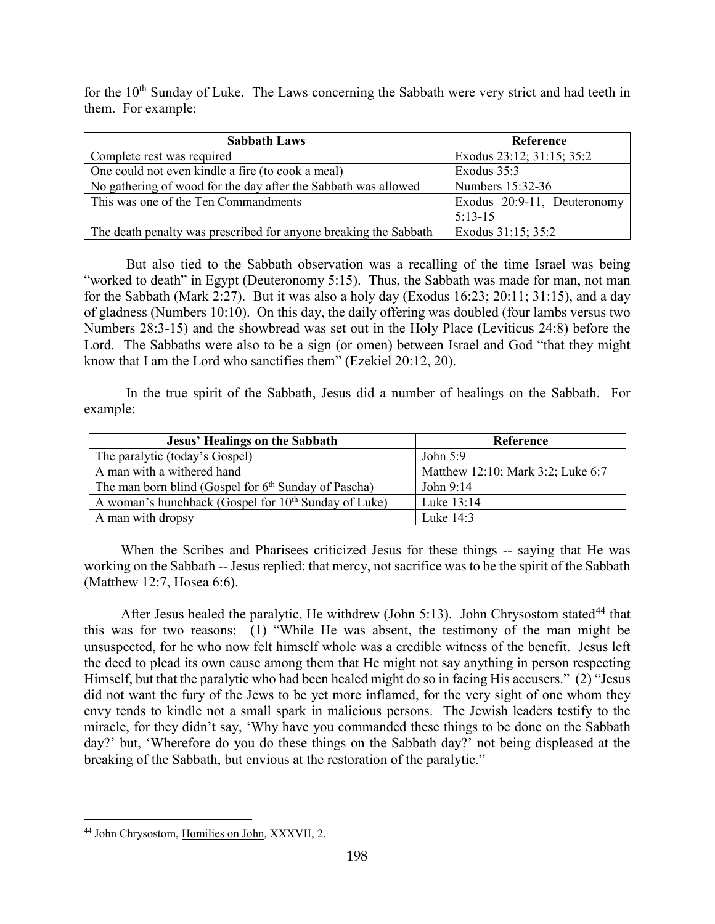for the 10<sup>th</sup> Sunday of Luke. The Laws concerning the Sabbath were very strict and had teeth in them. For example:

| <b>Sabbath Laws</b>                                              | <b>Reference</b>            |
|------------------------------------------------------------------|-----------------------------|
| Complete rest was required                                       | Exodus 23:12; 31:15; 35:2   |
| One could not even kindle a fire (to cook a meal)                | Exodus 35:3                 |
| No gathering of wood for the day after the Sabbath was allowed   | Numbers 15:32-36            |
| This was one of the Ten Commandments                             | Exodus 20:9-11, Deuteronomy |
|                                                                  | $5:13-15$                   |
| The death penalty was prescribed for anyone breaking the Sabbath | Exodus 31:15; 35:2          |

But also tied to the Sabbath observation was a recalling of the time Israel was being "worked to death" in Egypt (Deuteronomy 5:15). Thus, the Sabbath was made for man, not man for the Sabbath (Mark 2:27). But it was also a holy day (Exodus 16:23; 20:11; 31:15), and a day of gladness (Numbers 10:10). On this day, the daily offering was doubled (four lambs versus two Numbers 28:3-15) and the showbread was set out in the Holy Place (Leviticus 24:8) before the Lord. The Sabbaths were also to be a sign (or omen) between Israel and God "that they might know that I am the Lord who sanctifies them" (Ezekiel 20:12, 20).

In the true spirit of the Sabbath, Jesus did a number of healings on the Sabbath. For example:

| <b>Jesus' Healings on the Sabbath</b>                            | Reference                         |
|------------------------------------------------------------------|-----------------------------------|
| The paralytic (today's Gospel)                                   | John $5:9$                        |
| A man with a withered hand                                       | Matthew 12:10; Mark 3:2; Luke 6:7 |
| The man born blind (Gospel for $6th$ Sunday of Pascha)           | John 9:14                         |
| A woman's hunchback (Gospel for 10 <sup>th</sup> Sunday of Luke) | Luke 13:14                        |
| A man with dropsy                                                | Luke $14:3$                       |

When the Scribes and Pharisees criticized Jesus for these things -- saying that He was working on the Sabbath -- Jesus replied: that mercy, not sacrifice was to be the spirit of the Sabbath (Matthew 12:7, Hosea 6:6).

After Jesus healed the paralytic, He withdrew (John 5:13). John Chrysostom stated<sup>[44](#page-22-0)</sup> that this was for two reasons: (1) "While He was absent, the testimony of the man might be unsuspected, for he who now felt himself whole was a credible witness of the benefit. Jesus left the deed to plead its own cause among them that He might not say anything in person respecting Himself, but that the paralytic who had been healed might do so in facing His accusers." (2) "Jesus did not want the fury of the Jews to be yet more inflamed, for the very sight of one whom they envy tends to kindle not a small spark in malicious persons. The Jewish leaders testify to the miracle, for they didn't say, 'Why have you commanded these things to be done on the Sabbath day?' but, 'Wherefore do you do these things on the Sabbath day?' not being displeased at the breaking of the Sabbath, but envious at the restoration of the paralytic."

<span id="page-22-0"></span><sup>44</sup> John Chrysostom, Homilies on John, XXXVII, 2.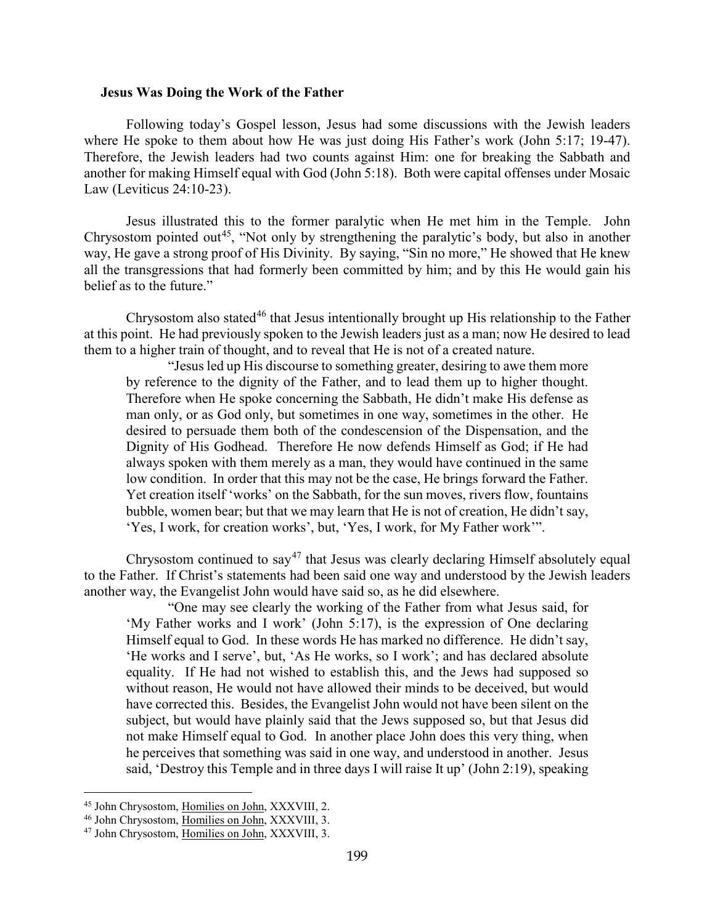#### <span id="page-23-0"></span>**Jesus Was Doing the Work of the Father**

Following today's Gospel lesson, Jesus had some discussions with the Jewish leaders where He spoke to them about how He was just doing His Father's work (John 5:17; 19-47). Therefore, the Jewish leaders had two counts against Him: one for breaking the Sabbath and another for making Himself equal with God (John 5:18). Both were capital offenses under Mosaic Law (Leviticus 24:10-23).

Jesus illustrated this to the former paralytic when He met him in the Temple. John Chrysostom pointed out<sup>[45](#page-23-1)</sup>, "Not only by strengthening the paralytic's body, but also in another way, He gave a strong proof of His Divinity. By saying, "Sin no more," He showed that He knew all the transgressions that had formerly been committed by him; and by this He would gain his belief as to the future."

Chrysostom also stated<sup>[46](#page-23-2)</sup> that Jesus intentionally brought up His relationship to the Father at this point. He had previously spoken to the Jewish leaders just as a man; now He desired to lead them to a higher train of thought, and to reveal that He is not of a created nature.

"Jesus led up His discourse to something greater, desiring to awe them more by reference to the dignity of the Father, and to lead them up to higher thought. Therefore when He spoke concerning the Sabbath, He didn't make His defense as man only, or as God only, but sometimes in one way, sometimes in the other. He desired to persuade them both of the condescension of the Dispensation, and the Dignity of His Godhead. Therefore He now defends Himself as God; if He had always spoken with them merely as a man, they would have continued in the same low condition. In order that this may not be the case, He brings forward the Father. Yet creation itself 'works' on the Sabbath, for the sun moves, rivers flow, fountains bubble, women bear; but that we may learn that He is not of creation, He didn't say, 'Yes, I work, for creation works', but, 'Yes, I work, for My Father work'".

Chrysostom continued to  $\text{say}^{47}$  $\text{say}^{47}$  $\text{say}^{47}$  that Jesus was clearly declaring Himself absolutely equal to the Father. If Christ's statements had been said one way and understood by the Jewish leaders another way, the Evangelist John would have said so, as he did elsewhere.

"One may see clearly the working of the Father from what Jesus said, for 'My Father works and I work' (John 5:17), is the expression of One declaring Himself equal to God. In these words He has marked no difference. He didn't say, 'He works and I serve', but, 'As He works, so I work'; and has declared absolute equality. If He had not wished to establish this, and the Jews had supposed so without reason, He would not have allowed their minds to be deceived, but would have corrected this. Besides, the Evangelist John would not have been silent on the subject, but would have plainly said that the Jews supposed so, but that Jesus did not make Himself equal to God. In another place John does this very thing, when he perceives that something was said in one way, and understood in another. Jesus said, 'Destroy this Temple and in three days I will raise It up' (John 2:19), speaking

<span id="page-23-1"></span><sup>45</sup> John Chrysostom, Homilies on John, XXXVIII, 2.

<span id="page-23-2"></span><sup>&</sup>lt;sup>46</sup> John Chrysostom, Homilies on John, XXXVIII, 3.

<span id="page-23-3"></span><sup>47</sup> John Chrysostom, Homilies on John, XXXVIII, 3.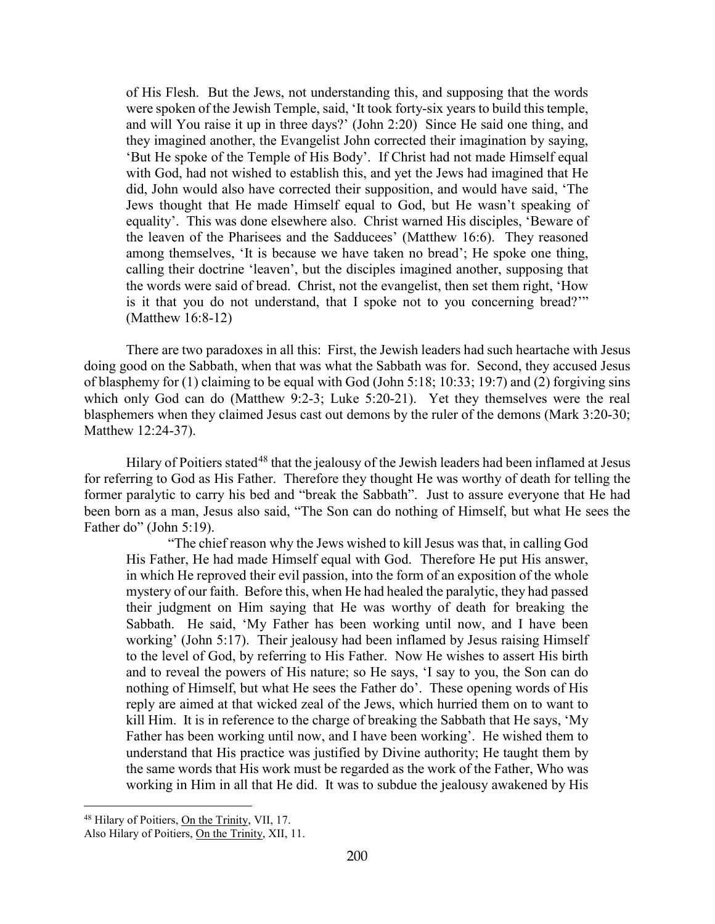of His Flesh. But the Jews, not understanding this, and supposing that the words were spoken of the Jewish Temple, said, 'It took forty-six years to build this temple, and will You raise it up in three days?' (John 2:20) Since He said one thing, and they imagined another, the Evangelist John corrected their imagination by saying, 'But He spoke of the Temple of His Body'. If Christ had not made Himself equal with God, had not wished to establish this, and yet the Jews had imagined that He did, John would also have corrected their supposition, and would have said, 'The Jews thought that He made Himself equal to God, but He wasn't speaking of equality'. This was done elsewhere also. Christ warned His disciples, 'Beware of the leaven of the Pharisees and the Sadducees' (Matthew 16:6). They reasoned among themselves, 'It is because we have taken no bread'; He spoke one thing, calling their doctrine 'leaven', but the disciples imagined another, supposing that the words were said of bread. Christ, not the evangelist, then set them right, 'How is it that you do not understand, that I spoke not to you concerning bread?'" (Matthew 16:8-12)

There are two paradoxes in all this: First, the Jewish leaders had such heartache with Jesus doing good on the Sabbath, when that was what the Sabbath was for. Second, they accused Jesus of blasphemy for (1) claiming to be equal with God (John 5:18; 10:33; 19:7) and (2) forgiving sins which only God can do (Matthew 9:2-3; Luke 5:20-21). Yet they themselves were the real blasphemers when they claimed Jesus cast out demons by the ruler of the demons (Mark 3:20-30; Matthew 12:24-37).

Hilary of Poitiers stated<sup>[48](#page-24-0)</sup> that the jealousy of the Jewish leaders had been inflamed at Jesus for referring to God as His Father. Therefore they thought He was worthy of death for telling the former paralytic to carry his bed and "break the Sabbath". Just to assure everyone that He had been born as a man, Jesus also said, "The Son can do nothing of Himself, but what He sees the Father do" (John 5:19).

"The chief reason why the Jews wished to kill Jesus was that, in calling God His Father, He had made Himself equal with God. Therefore He put His answer, in which He reproved their evil passion, into the form of an exposition of the whole mystery of our faith. Before this, when He had healed the paralytic, they had passed their judgment on Him saying that He was worthy of death for breaking the Sabbath. He said, 'My Father has been working until now, and I have been working' (John 5:17). Their jealousy had been inflamed by Jesus raising Himself to the level of God, by referring to His Father. Now He wishes to assert His birth and to reveal the powers of His nature; so He says, 'I say to you, the Son can do nothing of Himself, but what He sees the Father do'. These opening words of His reply are aimed at that wicked zeal of the Jews, which hurried them on to want to kill Him. It is in reference to the charge of breaking the Sabbath that He says, 'My Father has been working until now, and I have been working'. He wished them to understand that His practice was justified by Divine authority; He taught them by the same words that His work must be regarded as the work of the Father, Who was working in Him in all that He did. It was to subdue the jealousy awakened by His

<span id="page-24-0"></span><sup>&</sup>lt;sup>48</sup> Hilary of Poitiers, On the Trinity, VII, 17.

Also Hilary of Poitiers, On the Trinity, XII, 11.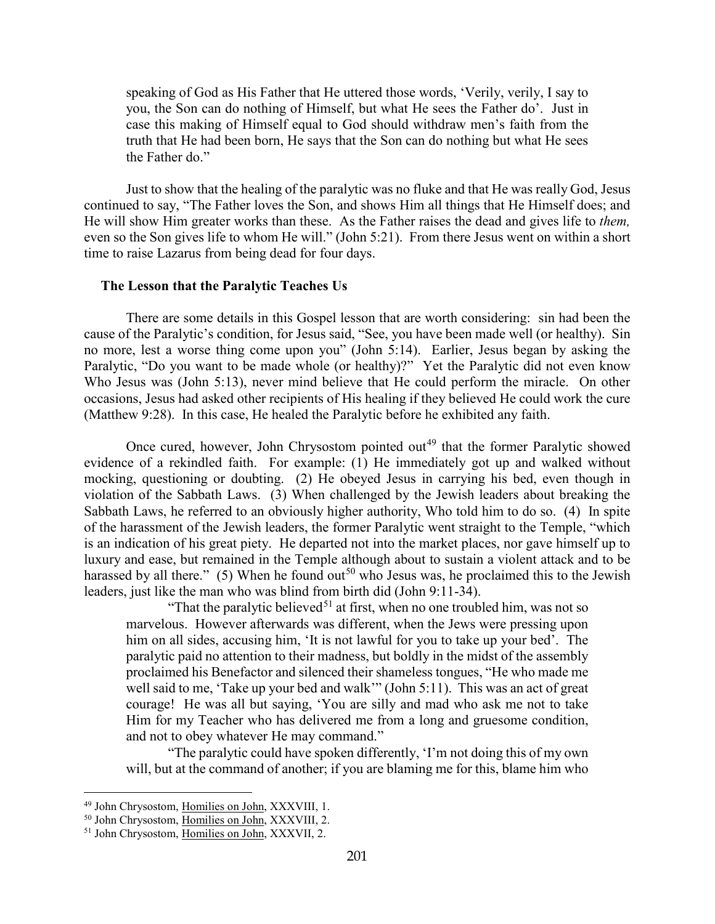speaking of God as His Father that He uttered those words, 'Verily, verily, I say to you, the Son can do nothing of Himself, but what He sees the Father do'. Just in case this making of Himself equal to God should withdraw men's faith from the truth that He had been born, He says that the Son can do nothing but what He sees the Father do."

Just to show that the healing of the paralytic was no fluke and that He was really God, Jesus continued to say, "The Father loves the Son, and shows Him all things that He Himself does; and He will show Him greater works than these. As the Father raises the dead and gives life to *them,*  even so the Son gives life to whom He will." (John 5:21). From there Jesus went on within a short time to raise Lazarus from being dead for four days.

#### <span id="page-25-0"></span>**The Lesson that the Paralytic Teaches Us**

There are some details in this Gospel lesson that are worth considering: sin had been the cause of the Paralytic's condition, for Jesus said, "See, you have been made well (or healthy). Sin no more, lest a worse thing come upon you" (John 5:14). Earlier, Jesus began by asking the Paralytic, "Do you want to be made whole (or healthy)?" Yet the Paralytic did not even know Who Jesus was (John 5:13), never mind believe that He could perform the miracle. On other occasions, Jesus had asked other recipients of His healing if they believed He could work the cure (Matthew 9:28). In this case, He healed the Paralytic before he exhibited any faith.

Once cured, however, John Chrysostom pointed out<sup>[49](#page-25-1)</sup> that the former Paralytic showed evidence of a rekindled faith. For example: (1) He immediately got up and walked without mocking, questioning or doubting. (2) He obeyed Jesus in carrying his bed, even though in violation of the Sabbath Laws. (3) When challenged by the Jewish leaders about breaking the Sabbath Laws, he referred to an obviously higher authority, Who told him to do so. (4) In spite of the harassment of the Jewish leaders, the former Paralytic went straight to the Temple, "which is an indication of his great piety. He departed not into the market places, nor gave himself up to luxury and ease, but remained in the Temple although about to sustain a violent attack and to be harassed by all there." (5) When he found out<sup>[50](#page-25-2)</sup> who Jesus was, he proclaimed this to the Jewish leaders, just like the man who was blind from birth did (John 9:11-34).

"That the paralytic believed<sup>[51](#page-25-3)</sup> at first, when no one troubled him, was not so marvelous. However afterwards was different, when the Jews were pressing upon him on all sides, accusing him, 'It is not lawful for you to take up your bed'. The paralytic paid no attention to their madness, but boldly in the midst of the assembly proclaimed his Benefactor and silenced their shameless tongues, "He who made me well said to me, 'Take up your bed and walk'" (John 5:11). This was an act of great courage! He was all but saying, 'You are silly and mad who ask me not to take Him for my Teacher who has delivered me from a long and gruesome condition, and not to obey whatever He may command."

"The paralytic could have spoken differently, 'I'm not doing this of my own will, but at the command of another; if you are blaming me for this, blame him who

<span id="page-25-1"></span><sup>49</sup> John Chrysostom, Homilies on John, XXXVIII, 1.

<span id="page-25-2"></span><sup>&</sup>lt;sup>50</sup> John Chrysostom, Homilies on John, XXXVIII, 2.

<span id="page-25-3"></span><sup>51</sup> John Chrysostom, Homilies on John, XXXVII, 2.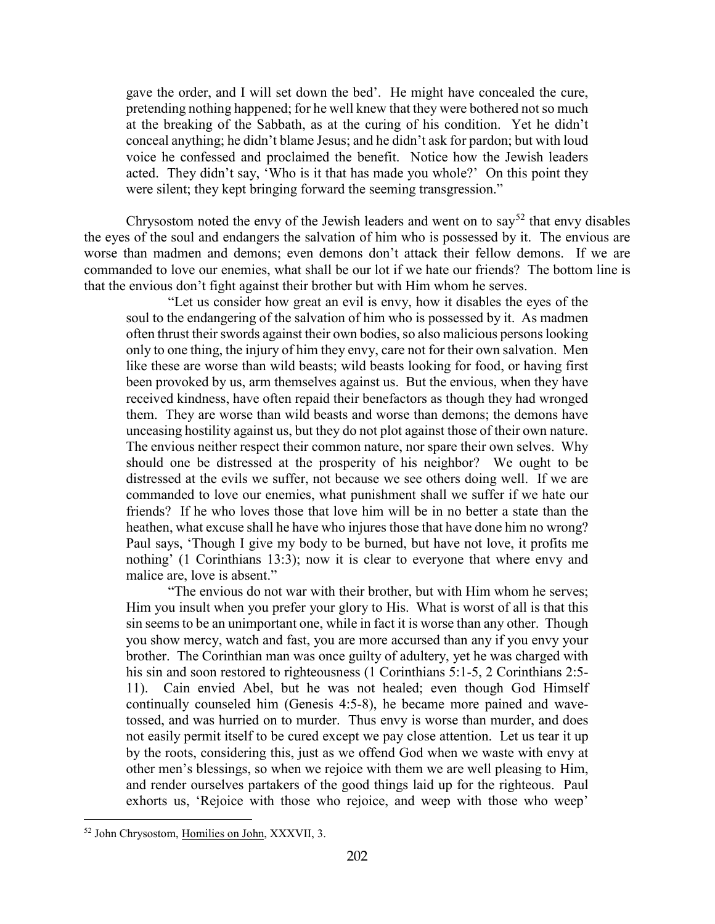gave the order, and I will set down the bed'. He might have concealed the cure, pretending nothing happened; for he well knew that they were bothered not so much at the breaking of the Sabbath, as at the curing of his condition. Yet he didn't conceal anything; he didn't blame Jesus; and he didn't ask for pardon; but with loud voice he confessed and proclaimed the benefit. Notice how the Jewish leaders acted. They didn't say, 'Who is it that has made you whole?' On this point they were silent; they kept bringing forward the seeming transgression."

Chrysostom noted the envy of the Jewish leaders and went on to say<sup>[52](#page-26-0)</sup> that envy disables the eyes of the soul and endangers the salvation of him who is possessed by it. The envious are worse than madmen and demons; even demons don't attack their fellow demons. If we are commanded to love our enemies, what shall be our lot if we hate our friends? The bottom line is that the envious don't fight against their brother but with Him whom he serves.

"Let us consider how great an evil is envy, how it disables the eyes of the soul to the endangering of the salvation of him who is possessed by it. As madmen often thrust their swords against their own bodies, so also malicious persons looking only to one thing, the injury of him they envy, care not for their own salvation. Men like these are worse than wild beasts; wild beasts looking for food, or having first been provoked by us, arm themselves against us. But the envious, when they have received kindness, have often repaid their benefactors as though they had wronged them. They are worse than wild beasts and worse than demons; the demons have unceasing hostility against us, but they do not plot against those of their own nature. The envious neither respect their common nature, nor spare their own selves. Why should one be distressed at the prosperity of his neighbor? We ought to be distressed at the evils we suffer, not because we see others doing well. If we are commanded to love our enemies, what punishment shall we suffer if we hate our friends? If he who loves those that love him will be in no better a state than the heathen, what excuse shall he have who injures those that have done him no wrong? Paul says, 'Though I give my body to be burned, but have not love, it profits me nothing' (1 Corinthians 13:3); now it is clear to everyone that where envy and malice are, love is absent."

"The envious do not war with their brother, but with Him whom he serves; Him you insult when you prefer your glory to His. What is worst of all is that this sin seems to be an unimportant one, while in fact it is worse than any other. Though you show mercy, watch and fast, you are more accursed than any if you envy your brother. The Corinthian man was once guilty of adultery, yet he was charged with his sin and soon restored to righteousness (1 Corinthians 5:1-5, 2 Corinthians 2:5- 11). Cain envied Abel, but he was not healed; even though God Himself continually counseled him (Genesis 4:5-8), he became more pained and wavetossed, and was hurried on to murder. Thus envy is worse than murder, and does not easily permit itself to be cured except we pay close attention. Let us tear it up by the roots, considering this, just as we offend God when we waste with envy at other men's blessings, so when we rejoice with them we are well pleasing to Him, and render ourselves partakers of the good things laid up for the righteous. Paul exhorts us, 'Rejoice with those who rejoice, and weep with those who weep'

<span id="page-26-0"></span><sup>52</sup> John Chrysostom, Homilies on John, XXXVII, 3.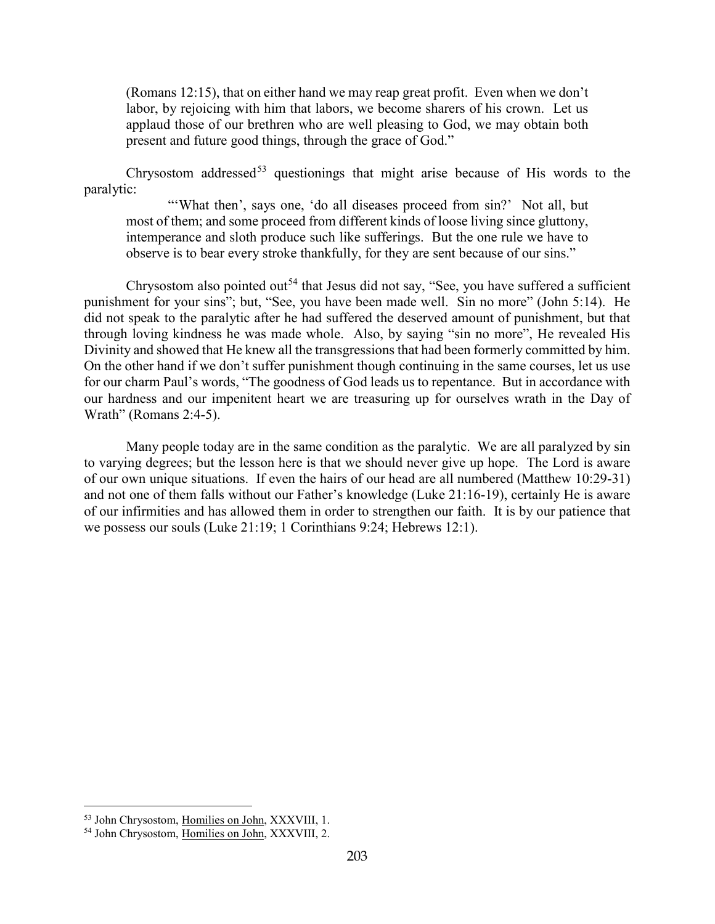(Romans 12:15), that on either hand we may reap great profit. Even when we don't labor, by rejoicing with him that labors, we become sharers of his crown. Let us applaud those of our brethren who are well pleasing to God, we may obtain both present and future good things, through the grace of God."

Chrysostom addressed<sup>[53](#page-27-0)</sup> questionings that might arise because of His words to the paralytic:

"'What then', says one, 'do all diseases proceed from sin?' Not all, but most of them; and some proceed from different kinds of loose living since gluttony, intemperance and sloth produce such like sufferings. But the one rule we have to observe is to bear every stroke thankfully, for they are sent because of our sins."

Chrysostom also pointed out<sup>[54](#page-27-1)</sup> that Jesus did not say, "See, you have suffered a sufficient punishment for your sins"; but, "See, you have been made well. Sin no more" (John 5:14). He did not speak to the paralytic after he had suffered the deserved amount of punishment, but that through loving kindness he was made whole. Also, by saying "sin no more", He revealed His Divinity and showed that He knew all the transgressions that had been formerly committed by him. On the other hand if we don't suffer punishment though continuing in the same courses, let us use for our charm Paul's words, "The goodness of God leads us to repentance. But in accordance with our hardness and our impenitent heart we are treasuring up for ourselves wrath in the Day of Wrath" (Romans 2:4-5).

Many people today are in the same condition as the paralytic. We are all paralyzed by sin to varying degrees; but the lesson here is that we should never give up hope. The Lord is aware of our own unique situations. If even the hairs of our head are all numbered (Matthew 10:29-31) and not one of them falls without our Father's knowledge (Luke 21:16-19), certainly He is aware of our infirmities and has allowed them in order to strengthen our faith. It is by our patience that we possess our souls (Luke 21:19; 1 Corinthians 9:24; Hebrews 12:1).

<span id="page-27-0"></span><sup>&</sup>lt;sup>53</sup> John Chrysostom, Homilies on John, XXXVIII, 1.

<span id="page-27-1"></span><sup>54</sup> John Chrysostom, Homilies on John, XXXVIII, 2.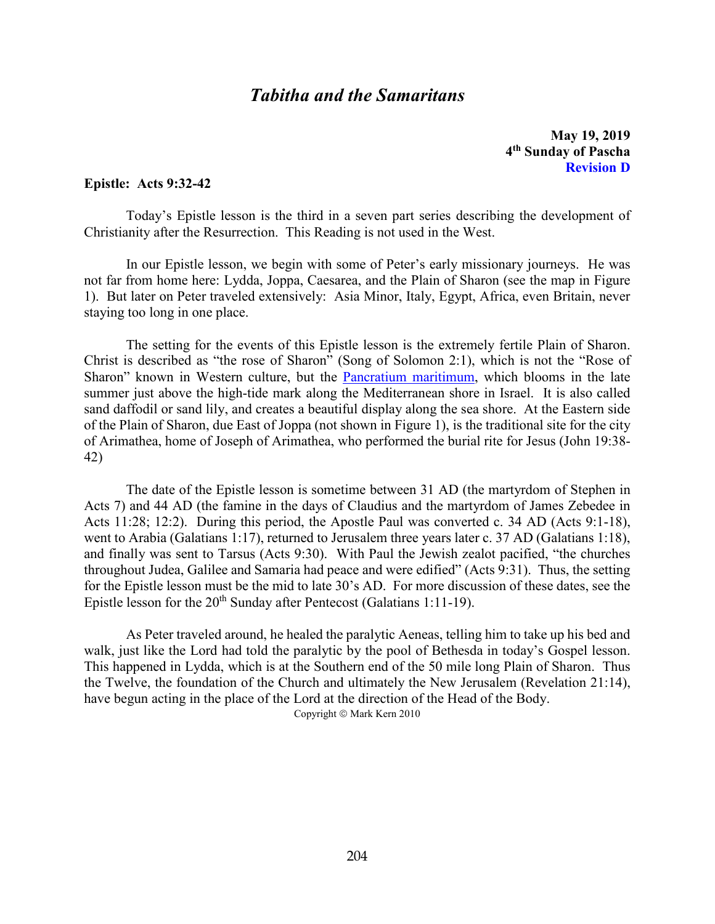# *Tabitha and the Samaritans*

**May 19, 2019 4th Sunday of Pascha Revision D**

#### <span id="page-28-0"></span>**Epistle: Acts 9:32-42**

Today's Epistle lesson is the third in a seven part series describing the development of Christianity after the Resurrection. This Reading is not used in the West.

In our Epistle lesson, we begin with some of Peter's early missionary journeys. He was not far from home here: Lydda, Joppa, Caesarea, and the Plain of Sharon (see the map in Figure 1). But later on Peter traveled extensively: Asia Minor, Italy, Egypt, Africa, even Britain, never staying too long in one place.

The setting for the events of this Epistle lesson is the extremely fertile Plain of Sharon. Christ is described as "the rose of Sharon" (Song of Solomon 2:1), which is not the "Rose of Sharon" known in Western culture, but the [Pancratium maritimum,](http://en.wikipedia.org/wiki/Pancratium_maritimum) which blooms in the late summer just above the high-tide mark along the Mediterranean shore in Israel. It is also called sand daffodil or sand lily, and creates a beautiful display along the sea shore. At the Eastern side of the Plain of Sharon, due East of Joppa (not shown in Figure 1), is the traditional site for the city of Arimathea, home of Joseph of Arimathea, who performed the burial rite for Jesus (John 19:38- 42)

The date of the Epistle lesson is sometime between 31 AD (the martyrdom of Stephen in Acts 7) and 44 AD (the famine in the days of Claudius and the martyrdom of James Zebedee in Acts 11:28; 12:2). During this period, the Apostle Paul was converted c. 34 AD (Acts 9:1-18), went to Arabia (Galatians 1:17), returned to Jerusalem three years later c. 37 AD (Galatians 1:18), and finally was sent to Tarsus (Acts 9:30). With Paul the Jewish zealot pacified, "the churches throughout Judea, Galilee and Samaria had peace and were edified" (Acts 9:31). Thus, the setting for the Epistle lesson must be the mid to late 30's AD. For more discussion of these dates, see the Epistle lesson for the  $20<sup>th</sup>$  Sunday after Pentecost (Galatians 1:11-19).

As Peter traveled around, he healed the paralytic Aeneas, telling him to take up his bed and walk, just like the Lord had told the paralytic by the pool of Bethesda in today's Gospel lesson. This happened in Lydda, which is at the Southern end of the 50 mile long Plain of Sharon. Thus the Twelve, the foundation of the Church and ultimately the New Jerusalem (Revelation 21:14), have begun acting in the place of the Lord at the direction of the Head of the Body.

Copyright © Mark Kern 2010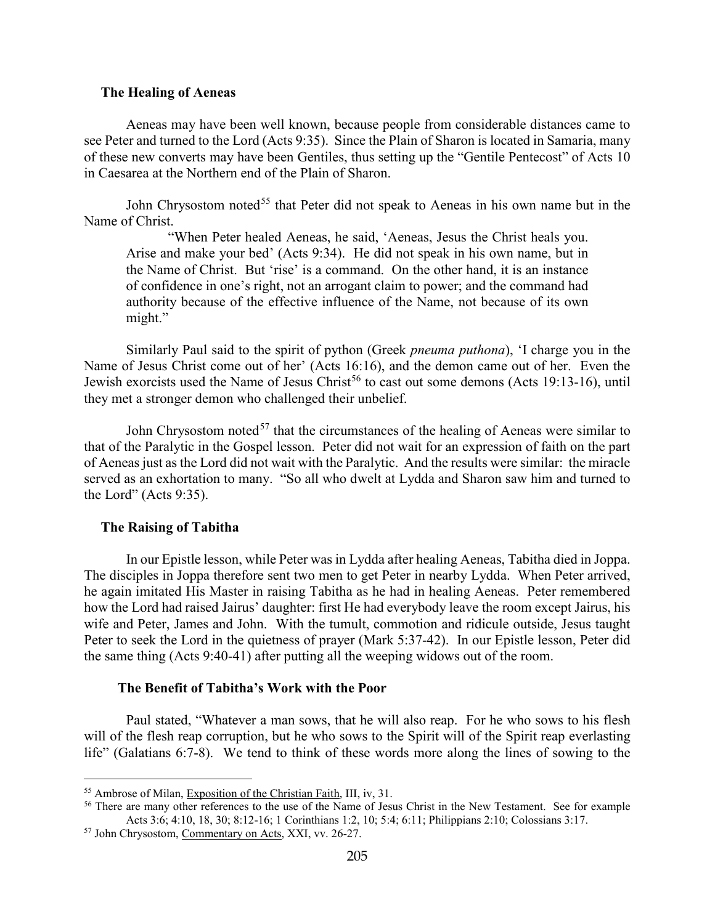#### <span id="page-29-0"></span>**The Healing of Aeneas**

Aeneas may have been well known, because people from considerable distances came to see Peter and turned to the Lord (Acts 9:35). Since the Plain of Sharon is located in Samaria, many of these new converts may have been Gentiles, thus setting up the "Gentile Pentecost" of Acts 10 in Caesarea at the Northern end of the Plain of Sharon.

John Chrysostom noted<sup>[55](#page-29-3)</sup> that Peter did not speak to Aeneas in his own name but in the Name of Christ.

"When Peter healed Aeneas, he said, 'Aeneas, Jesus the Christ heals you. Arise and make your bed' (Acts 9:34). He did not speak in his own name, but in the Name of Christ. But 'rise' is a command. On the other hand, it is an instance of confidence in one's right, not an arrogant claim to power; and the command had authority because of the effective influence of the Name, not because of its own might."

Similarly Paul said to the spirit of python (Greek *pneuma puthona*), 'I charge you in the Name of Jesus Christ come out of her' (Acts 16:16), and the demon came out of her. Even the Jewish exorcists used the Name of Jesus Christ<sup>[56](#page-29-4)</sup> to cast out some demons (Acts 19:13-16), until they met a stronger demon who challenged their unbelief.

John Chrysostom noted<sup>[57](#page-29-5)</sup> that the circumstances of the healing of Aeneas were similar to that of the Paralytic in the Gospel lesson. Peter did not wait for an expression of faith on the part of Aeneas just as the Lord did not wait with the Paralytic. And the results were similar: the miracle served as an exhortation to many. "So all who dwelt at Lydda and Sharon saw him and turned to the Lord" (Acts 9:35).

#### <span id="page-29-1"></span>**The Raising of Tabitha**

 $\overline{a}$ 

In our Epistle lesson, while Peter was in Lydda after healing Aeneas, Tabitha died in Joppa. The disciples in Joppa therefore sent two men to get Peter in nearby Lydda. When Peter arrived, he again imitated His Master in raising Tabitha as he had in healing Aeneas. Peter remembered how the Lord had raised Jairus' daughter: first He had everybody leave the room except Jairus, his wife and Peter, James and John. With the tumult, commotion and ridicule outside, Jesus taught Peter to seek the Lord in the quietness of prayer (Mark 5:37-42). In our Epistle lesson, Peter did the same thing (Acts 9:40-41) after putting all the weeping widows out of the room.

## **The Benefit of Tabitha's Work with the Poor**

<span id="page-29-2"></span>Paul stated, "Whatever a man sows, that he will also reap. For he who sows to his flesh will of the flesh reap corruption, but he who sows to the Spirit will of the Spirit reap everlasting life" (Galatians 6:7-8). We tend to think of these words more along the lines of sowing to the

<span id="page-29-3"></span><sup>55</sup> Ambrose of Milan, Exposition of the Christian Faith, III, iv, 31.

<span id="page-29-4"></span><sup>&</sup>lt;sup>56</sup> There are many other references to the use of the Name of Jesus Christ in the New Testament. See for example Acts 3:6; 4:10, 18, 30; 8:12-16; 1 Corinthians 1:2, 10; 5:4; 6:11; Philippians 2:10; Colossians 3:17.

<span id="page-29-5"></span><sup>57</sup> John Chrysostom, Commentary on Acts, XXI, vv. 26-27.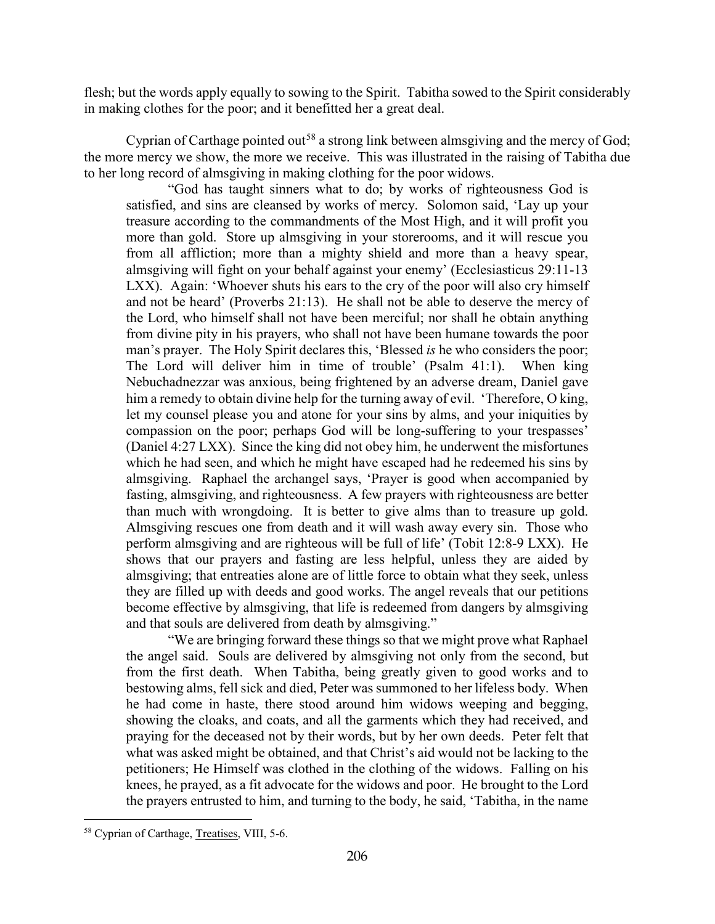flesh; but the words apply equally to sowing to the Spirit. Tabitha sowed to the Spirit considerably in making clothes for the poor; and it benefitted her a great deal.

Cyprian of Carthage pointed out<sup>[58](#page-30-0)</sup> a strong link between almsgiving and the mercy of God; the more mercy we show, the more we receive. This was illustrated in the raising of Tabitha due to her long record of almsgiving in making clothing for the poor widows.

"God has taught sinners what to do; by works of righteousness God is satisfied, and sins are cleansed by works of mercy. Solomon said, 'Lay up your treasure according to the commandments of the Most High, and it will profit you more than gold. Store up almsgiving in your storerooms, and it will rescue you from all affliction; more than a mighty shield and more than a heavy spear, almsgiving will fight on your behalf against your enemy' (Ecclesiasticus 29:11-13 LXX). Again: 'Whoever shuts his ears to the cry of the poor will also cry himself and not be heard' (Proverbs 21:13). He shall not be able to deserve the mercy of the Lord, who himself shall not have been merciful; nor shall he obtain anything from divine pity in his prayers, who shall not have been humane towards the poor man's prayer. The Holy Spirit declares this, 'Blessed *is* he who considers the poor; The Lord will deliver him in time of trouble' (Psalm 41:1). When king Nebuchadnezzar was anxious, being frightened by an adverse dream, Daniel gave him a remedy to obtain divine help for the turning away of evil. 'Therefore, O king, let my counsel please you and atone for your sins by alms, and your iniquities by compassion on the poor; perhaps God will be long-suffering to your trespasses' (Daniel 4:27 LXX). Since the king did not obey him, he underwent the misfortunes which he had seen, and which he might have escaped had he redeemed his sins by almsgiving. Raphael the archangel says, 'Prayer is good when accompanied by fasting, almsgiving, and righteousness. A few prayers with righteousness are better than much with wrongdoing. It is better to give alms than to treasure up gold. Almsgiving rescues one from death and it will wash away every sin. Those who perform almsgiving and are righteous will be full of life' (Tobit 12:8-9 LXX). He shows that our prayers and fasting are less helpful, unless they are aided by almsgiving; that entreaties alone are of little force to obtain what they seek, unless they are filled up with deeds and good works. The angel reveals that our petitions become effective by almsgiving, that life is redeemed from dangers by almsgiving and that souls are delivered from death by almsgiving."

"We are bringing forward these things so that we might prove what Raphael the angel said. Souls are delivered by almsgiving not only from the second, but from the first death. When Tabitha, being greatly given to good works and to bestowing alms, fell sick and died, Peter was summoned to her lifeless body. When he had come in haste, there stood around him widows weeping and begging, showing the cloaks, and coats, and all the garments which they had received, and praying for the deceased not by their words, but by her own deeds. Peter felt that what was asked might be obtained, and that Christ's aid would not be lacking to the petitioners; He Himself was clothed in the clothing of the widows. Falling on his knees, he prayed, as a fit advocate for the widows and poor. He brought to the Lord the prayers entrusted to him, and turning to the body, he said, 'Tabitha, in the name

<span id="page-30-0"></span><sup>58</sup> Cyprian of Carthage, Treatises, VIII, 5-6.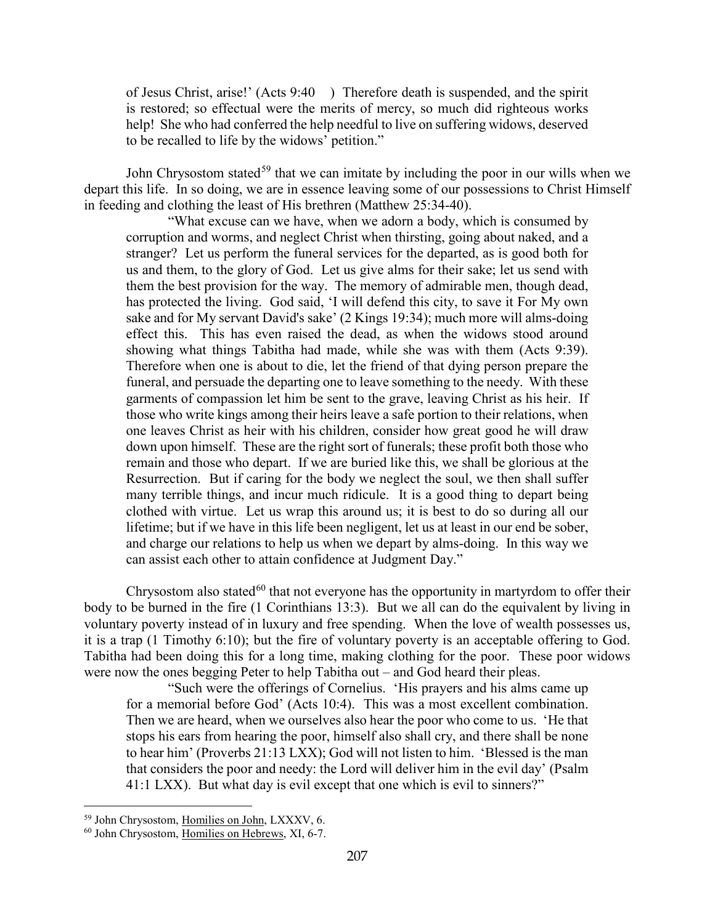of Jesus Christ, arise!' (Acts 9:40 ) Therefore death is suspended, and the spirit is restored; so effectual were the merits of mercy, so much did righteous works help! She who had conferred the help needful to live on suffering widows, deserved to be recalled to life by the widows' petition."

John Chrysostom stated<sup>[59](#page-31-0)</sup> that we can imitate by including the poor in our wills when we depart this life. In so doing, we are in essence leaving some of our possessions to Christ Himself in feeding and clothing the least of His brethren (Matthew 25:34-40).

"What excuse can we have, when we adorn a body, which is consumed by corruption and worms, and neglect Christ when thirsting, going about naked, and a stranger? Let us perform the funeral services for the departed, as is good both for us and them, to the glory of God. Let us give alms for their sake; let us send with them the best provision for the way. The memory of admirable men, though dead, has protected the living. God said, 'I will defend this city, to save it For My own sake and for My servant David's sake' (2 Kings 19:34); much more will alms-doing effect this. This has even raised the dead, as when the widows stood around showing what things Tabitha had made, while she was with them (Acts 9:39). Therefore when one is about to die, let the friend of that dying person prepare the funeral, and persuade the departing one to leave something to the needy. With these garments of compassion let him be sent to the grave, leaving Christ as his heir. If those who write kings among their heirs leave a safe portion to their relations, when one leaves Christ as heir with his children, consider how great good he will draw down upon himself. These are the right sort of funerals; these profit both those who remain and those who depart. If we are buried like this, we shall be glorious at the Resurrection. But if caring for the body we neglect the soul, we then shall suffer many terrible things, and incur much ridicule. It is a good thing to depart being clothed with virtue. Let us wrap this around us; it is best to do so during all our lifetime; but if we have in this life been negligent, let us at least in our end be sober, and charge our relations to help us when we depart by alms-doing. In this way we can assist each other to attain confidence at Judgment Day."

Chrysostom also stated<sup>[60](#page-31-1)</sup> that not everyone has the opportunity in martyrdom to offer their body to be burned in the fire (1 Corinthians 13:3). But we all can do the equivalent by living in voluntary poverty instead of in luxury and free spending. When the love of wealth possesses us, it is a trap (1 Timothy 6:10); but the fire of voluntary poverty is an acceptable offering to God. Tabitha had been doing this for a long time, making clothing for the poor. These poor widows were now the ones begging Peter to help Tabitha out – and God heard their pleas.

"Such were the offerings of Cornelius. 'His prayers and his alms came up for a memorial before God' (Acts 10:4). This was a most excellent combination. Then we are heard, when we ourselves also hear the poor who come to us. 'He that stops his ears from hearing the poor, himself also shall cry, and there shall be none to hear him' (Proverbs 21:13 LXX); God will not listen to him. 'Blessed is the man that considers the poor and needy: the Lord will deliver him in the evil day' (Psalm 41:1 LXX). But what day is evil except that one which is evil to sinners?"

<span id="page-31-0"></span><sup>59</sup> John Chrysostom, Homilies on John, LXXXV, 6.

<span id="page-31-1"></span><sup>60</sup> John Chrysostom, Homilies on Hebrews, XI, 6-7.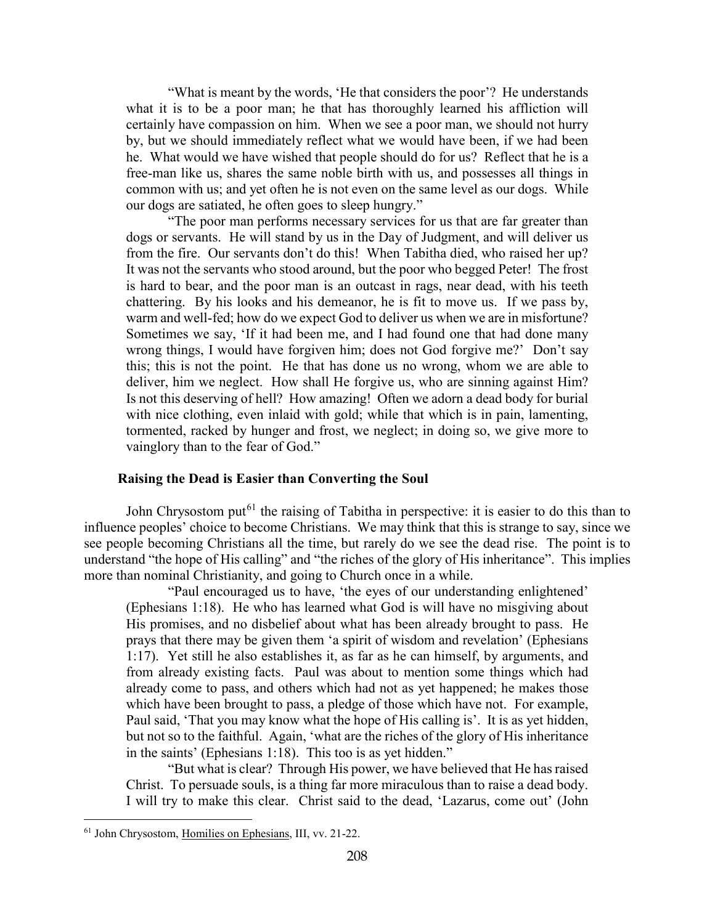"What is meant by the words, 'He that considers the poor'? He understands what it is to be a poor man; he that has thoroughly learned his affliction will certainly have compassion on him. When we see a poor man, we should not hurry by, but we should immediately reflect what we would have been, if we had been he. What would we have wished that people should do for us? Reflect that he is a free-man like us, shares the same noble birth with us, and possesses all things in common with us; and yet often he is not even on the same level as our dogs. While our dogs are satiated, he often goes to sleep hungry."

"The poor man performs necessary services for us that are far greater than dogs or servants. He will stand by us in the Day of Judgment, and will deliver us from the fire. Our servants don't do this! When Tabitha died, who raised her up? It was not the servants who stood around, but the poor who begged Peter! The frost is hard to bear, and the poor man is an outcast in rags, near dead, with his teeth chattering. By his looks and his demeanor, he is fit to move us. If we pass by, warm and well-fed; how do we expect God to deliver us when we are in misfortune? Sometimes we say, 'If it had been me, and I had found one that had done many wrong things, I would have forgiven him; does not God forgive me?' Don't say this; this is not the point. He that has done us no wrong, whom we are able to deliver, him we neglect. How shall He forgive us, who are sinning against Him? Is not this deserving of hell? How amazing! Often we adorn a dead body for burial with nice clothing, even inlaid with gold; while that which is in pain, lamenting, tormented, racked by hunger and frost, we neglect; in doing so, we give more to vainglory than to the fear of God."

#### **Raising the Dead is Easier than Converting the Soul**

<span id="page-32-0"></span>John Chrysostom put<sup>[61](#page-32-1)</sup> the raising of Tabitha in perspective: it is easier to do this than to influence peoples' choice to become Christians. We may think that this is strange to say, since we see people becoming Christians all the time, but rarely do we see the dead rise. The point is to understand "the hope of His calling" and "the riches of the glory of His inheritance". This implies more than nominal Christianity, and going to Church once in a while.

"Paul encouraged us to have, 'the eyes of our understanding enlightened' (Ephesians 1:18). He who has learned what God is will have no misgiving about His promises, and no disbelief about what has been already brought to pass. He prays that there may be given them 'a spirit of wisdom and revelation' (Ephesians 1:17). Yet still he also establishes it, as far as he can himself, by arguments, and from already existing facts. Paul was about to mention some things which had already come to pass, and others which had not as yet happened; he makes those which have been brought to pass, a pledge of those which have not. For example, Paul said, 'That you may know what the hope of His calling is'. It is as yet hidden, but not so to the faithful. Again, 'what are the riches of the glory of His inheritance in the saints' (Ephesians 1:18). This too is as yet hidden."

"But what is clear? Through His power, we have believed that He has raised Christ. To persuade souls, is a thing far more miraculous than to raise a dead body. I will try to make this clear. Christ said to the dead, 'Lazarus, come out' (John

<span id="page-32-1"></span><sup>61</sup> John Chrysostom, Homilies on Ephesians, III, vv. 21-22.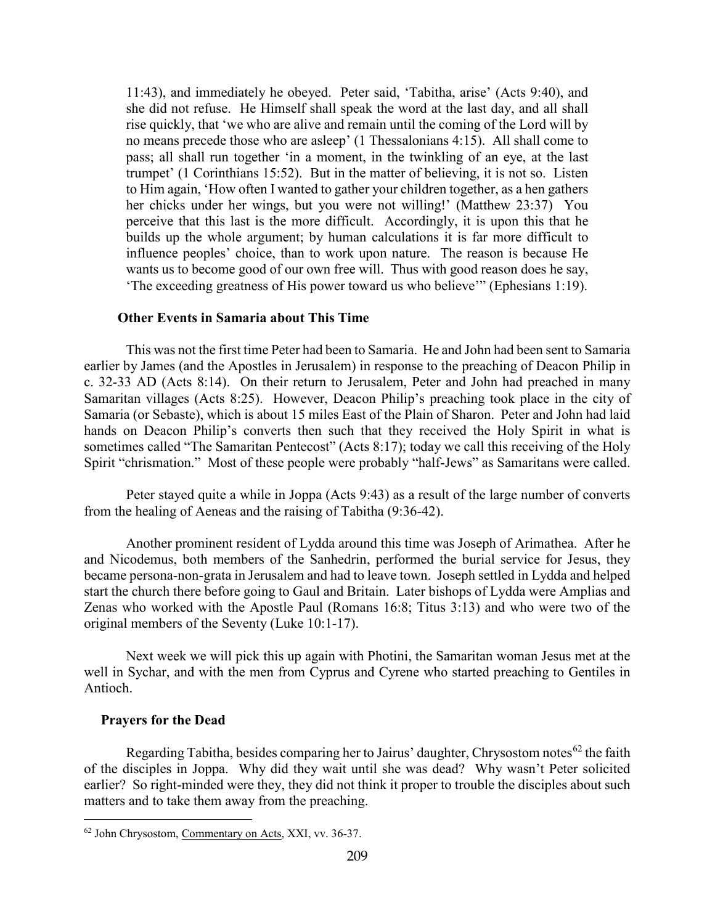11:43), and immediately he obeyed. Peter said, 'Tabitha, arise' (Acts 9:40), and she did not refuse. He Himself shall speak the word at the last day, and all shall rise quickly, that 'we who are alive and remain until the coming of the Lord will by no means precede those who are asleep' (1 Thessalonians 4:15). All shall come to pass; all shall run together 'in a moment, in the twinkling of an eye, at the last trumpet' (1 Corinthians 15:52). But in the matter of believing, it is not so. Listen to Him again, 'How often I wanted to gather your children together, as a hen gathers her chicks under her wings, but you were not willing!' (Matthew 23:37) You perceive that this last is the more difficult. Accordingly, it is upon this that he builds up the whole argument; by human calculations it is far more difficult to influence peoples' choice, than to work upon nature. The reason is because He wants us to become good of our own free will. Thus with good reason does he say, 'The exceeding greatness of His power toward us who believe'" (Ephesians 1:19).

#### <span id="page-33-0"></span>**Other Events in Samaria about This Time**

This was not the first time Peter had been to Samaria. He and John had been sent to Samaria earlier by James (and the Apostles in Jerusalem) in response to the preaching of Deacon Philip in c. 32-33 AD (Acts 8:14). On their return to Jerusalem, Peter and John had preached in many Samaritan villages (Acts 8:25). However, Deacon Philip's preaching took place in the city of Samaria (or Sebaste), which is about 15 miles East of the Plain of Sharon. Peter and John had laid hands on Deacon Philip's converts then such that they received the Holy Spirit in what is sometimes called "The Samaritan Pentecost" (Acts 8:17); today we call this receiving of the Holy Spirit "chrismation." Most of these people were probably "half-Jews" as Samaritans were called.

Peter stayed quite a while in Joppa (Acts 9:43) as a result of the large number of converts from the healing of Aeneas and the raising of Tabitha (9:36-42).

Another prominent resident of Lydda around this time was Joseph of Arimathea. After he and Nicodemus, both members of the Sanhedrin, performed the burial service for Jesus, they became persona-non-grata in Jerusalem and had to leave town. Joseph settled in Lydda and helped start the church there before going to Gaul and Britain. Later bishops of Lydda were Amplias and Zenas who worked with the Apostle Paul (Romans 16:8; Titus 3:13) and who were two of the original members of the Seventy (Luke 10:1-17).

Next week we will pick this up again with Photini, the Samaritan woman Jesus met at the well in Sychar, and with the men from Cyprus and Cyrene who started preaching to Gentiles in Antioch.

#### <span id="page-33-1"></span>**Prayers for the Dead**

 $\overline{a}$ 

Regarding Tabitha, besides comparing her to Jairus' daughter, Chrysostom notes<sup>[62](#page-33-2)</sup> the faith of the disciples in Joppa. Why did they wait until she was dead? Why wasn't Peter solicited earlier? So right-minded were they, they did not think it proper to trouble the disciples about such matters and to take them away from the preaching.

<span id="page-33-2"></span><sup>62</sup> John Chrysostom, Commentary on Acts, XXI, vv. 36-37.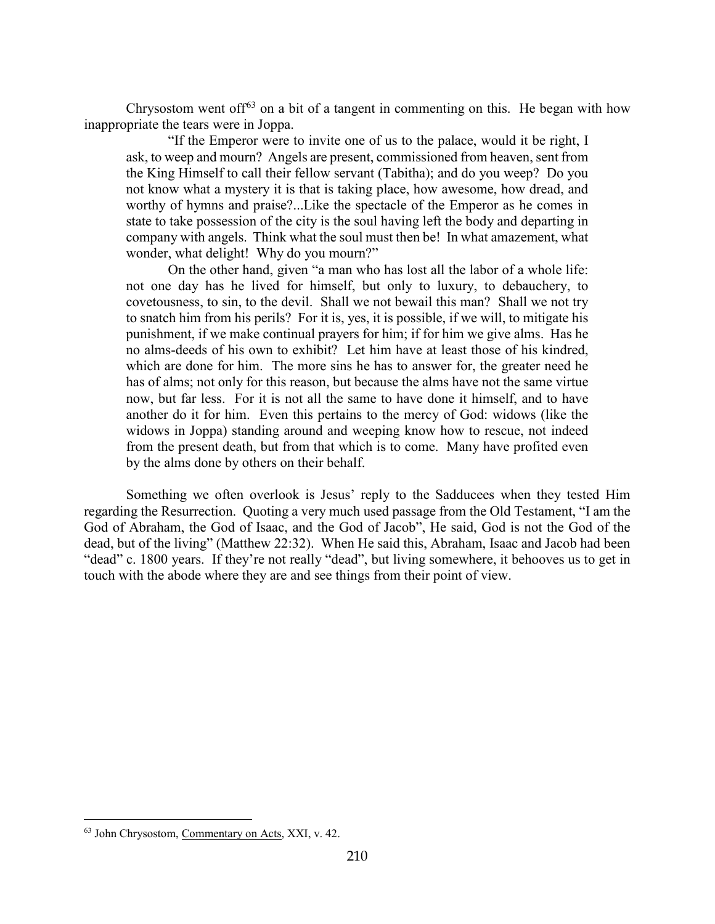Chrysostom went of  $f^{63}$  $f^{63}$  $f^{63}$  on a bit of a tangent in commenting on this. He began with how inappropriate the tears were in Joppa.

"If the Emperor were to invite one of us to the palace, would it be right, I ask, to weep and mourn? Angels are present, commissioned from heaven, sent from the King Himself to call their fellow servant (Tabitha); and do you weep? Do you not know what a mystery it is that is taking place, how awesome, how dread, and worthy of hymns and praise?...Like the spectacle of the Emperor as he comes in state to take possession of the city is the soul having left the body and departing in company with angels. Think what the soul must then be! In what amazement, what wonder, what delight! Why do you mourn?"

On the other hand, given "a man who has lost all the labor of a whole life: not one day has he lived for himself, but only to luxury, to debauchery, to covetousness, to sin, to the devil. Shall we not bewail this man? Shall we not try to snatch him from his perils? For it is, yes, it is possible, if we will, to mitigate his punishment, if we make continual prayers for him; if for him we give alms. Has he no alms-deeds of his own to exhibit? Let him have at least those of his kindred, which are done for him. The more sins he has to answer for, the greater need he has of alms; not only for this reason, but because the alms have not the same virtue now, but far less. For it is not all the same to have done it himself, and to have another do it for him. Even this pertains to the mercy of God: widows (like the widows in Joppa) standing around and weeping know how to rescue, not indeed from the present death, but from that which is to come. Many have profited even by the alms done by others on their behalf.

Something we often overlook is Jesus' reply to the Sadducees when they tested Him regarding the Resurrection. Quoting a very much used passage from the Old Testament, "I am the God of Abraham, the God of Isaac, and the God of Jacob", He said, God is not the God of the dead, but of the living" (Matthew 22:32). When He said this, Abraham, Isaac and Jacob had been "dead" c. 1800 years. If they're not really "dead", but living somewhere, it behooves us to get in touch with the abode where they are and see things from their point of view.

<span id="page-34-0"></span><sup>63</sup> John Chrysostom, Commentary on Acts, XXI, v. 42.